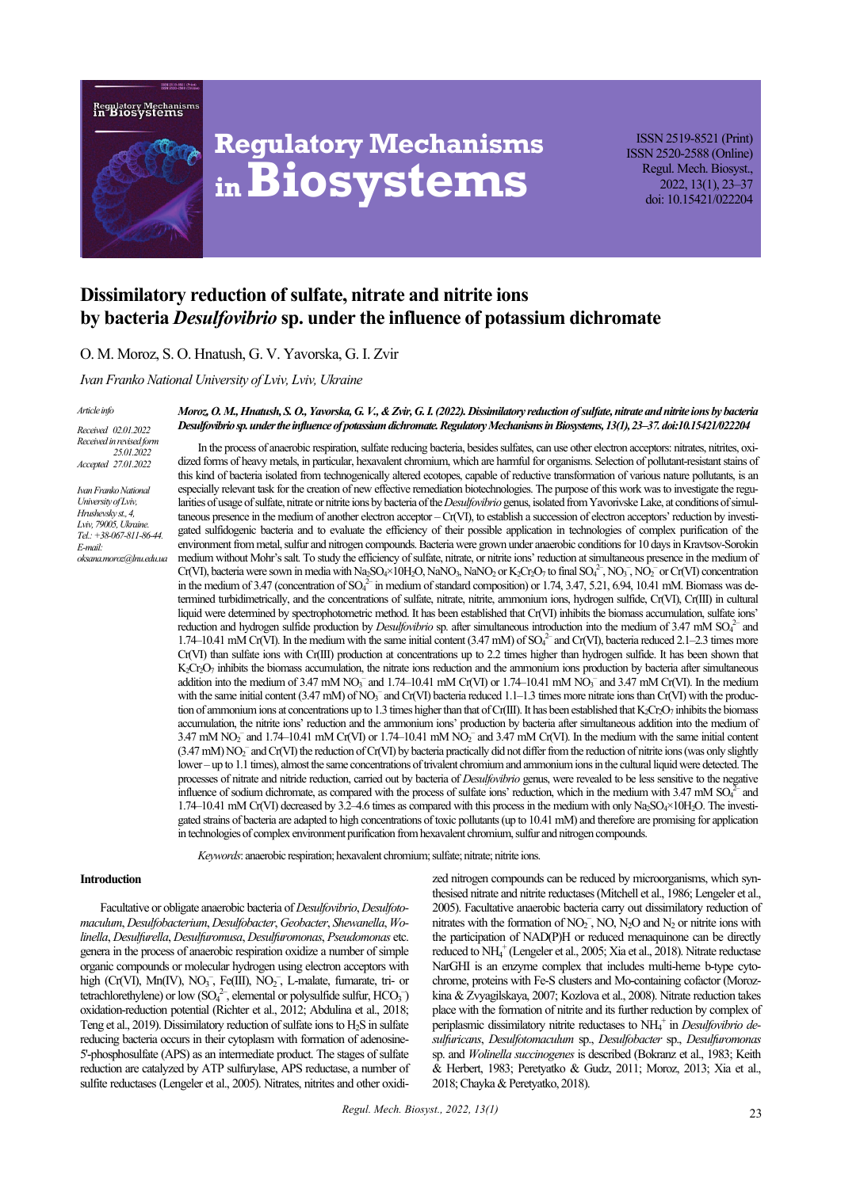Regulatory Mechanis:<br>in Biosystems



# **Regulatory Mechanisms inBiosystems**

ISSN 2519-8521 (Print) ISSN 2520-2588 (Online) Regul. Mech. Biosyst., 2022, 13(1), 23–37 doi: 10.15421/022204

# **Dissimilatory reduction of sulfate, nitrate and nitrite ions by bacteria** *Desulfovibrio* **sp. under the influence of potassium dichromate**

O. M. Moroz, S. O. Hnatush, G. V. Yavorska, G. I. Zvir

*Ivan Franko National University of Lviv, Lviv, Ukraine* 

*Article info*

*Received 02.01.2022 Received in revised form 25.01.2022 Accepted 27.01.2022*

*Ivan Franko National University of Lviv, Hrushevsky st., 4, Lviv, 79005, Ukraine. Tel.: +38-067-811-86-44. E-mail: oksana.moroz@lnu.edu.ua*

*Moroz, O. M., Hnatush, S. O., Yavorska, G. V., & Zvir, G. I. (2022). Dissimilatory reduction of sulfate, nitrate and nitrite ions by bacteria Desulfovibrio sp. under the influence of potassium dichromate. Regulatory Mechanisms in Biosystems, 13(1), 23–37. doi:10.15421/022204*

In the process of anaerobic respiration, sulfate reducing bacteria, besides sulfates, can use other electron acceptors: nitrates, nitrites, oxidized forms of heavy metals, in particular, hexavalent chromium, which are harmful for organisms. Selection of pollutant-resistant stains of this kind of bacteria isolated from technogenically altered ecotopes, capable of reductive transformation of various nature pollutants, is an especially relevant task for the creation of new effective remediation biotechnologies. The purpose of this work was to investigate the regularities of usage of sulfate, nitrate or nitrite ions by bacteria of the *Desulfovibrio* genus, isolated from Yavorivske Lake, at conditions of simultaneous presence in the medium of another electron acceptor – Cr(VI), to establish a succession of electron acceptors' reduction by investigated sulfidogenic bacteria and to evaluate the efficiency of their possible application in technologies of complex purification of the environment from metal, sulfur and nitrogen compounds. Bacteria were grown under anaerobic conditions for 10 days in Kravtsov-Sorokin medium without Mohr's salt. To study the efficiency of sulfate, nitrate, or nitrite ions' reduction at simultaneous presence in the medium of Cr(VI), bacteria were sown in media with Na<sub>2</sub>SO<sub>4</sub>×10H<sub>2</sub>O, NaNO<sub>3</sub>, NaNO<sub>2</sub> or K<sub>2</sub>Cr<sub>2</sub>O<sub>7</sub> to final SO<sub>4</sub><sup>2</sup>, NO<sub>3</sub><sup>-</sup>, NO<sub>3</sub><sup>-</sup>, NO<sub>3</sub><sup>-</sup>, NO<sub>3</sub><sup>-</sup>, NO<sub>3</sub><sup>-</sup>, NO<sub>3</sub><sup>-</sup>, NO<sub>3</sub><sup>-</sup> in the medium of 3.47 (concentration of SO<sub>4</sub><sup>2</sup> in medium of standard composition) or 1.74, 3.47, 5.21, 6.94, 10.41 mM. Biomass was determined turbidimetrically, and the concentrations of sulfate, nitrate, nitrite, ammonium ions, hydrogen sulfide, Cr(VI), Cr(ІІІ) in cultural liquid were determined by spectrophotometric method. It has been established that Cr(VI) inhibits the biomass accumulation, sulfate ions' reduction and hydrogen sulfide production by *Desulfovibrio* sp. after simultaneous introduction into the medium of 3.47 mM SO<sub>4</sub><sup>2</sup> and 1.74–10.41 mM Cr(VI). In the medium with the same initial content (3.47 mM) of  $SO<sub>4</sub><sup>2</sup>$  and Cr(VI), bacteria reduced 2.1–2.3 times more Cr(VI) than sulfate ions with Cr(III) production at concentrations up to 2.2 times higher than hydrogen sulfide. It has been shown that  $K_2Cr_2O_7$  inhibits the biomass accumulation, the nitrate ions reduction and the ammonium ions production by bacteria after simultaneous addition into the medium of  $3.47 \text{ mM NO}_3^-$  and  $1.74-10.41 \text{ mM Cr(VI)}$  or  $1.74-10.41 \text{ mM NO}_3^-$  and  $3.47 \text{ mM Cr(VI)}$ . In the medium with the same initial content  $(3.47 \text{ mM})$  of NO<sub>3</sub><sup>-</sup> and Cr(VI) bacteria reduced 1.1–1.3 times more nitrate ions than Cr(VI) with the production of ammonium ions at concentrations up to 1.3 times higher than that of Cr(III). It has been established that K<sub>2</sub>Cr<sub>2</sub>O<sub>7</sub> inhibits the biomass accumulation, the nitrite ions' reduction and the ammonium ions' production by bacteria after simultaneous addition into the medium of  $3.47$  mM NO<sub>2</sub><sup>-</sup> and  $1.74-10.41$  mM Cr(VI) or  $1.74-10.41$  mM NO<sub>2</sub><sup>-</sup> and  $3.47$  mM Cr(VI). In the medium with the same initial content (3.47 mM) NO<sub>2</sub><sup>-</sup> and Cr(VI) the reduction of Cr(VI) by bacteria practically did not differ from the reduction of nitrite ions (was only slightly lower – up to 1.1 times), almost the same concentrations of trivalent chromium and ammonium ions in the cultural liquid were detected. The processes of nitrate and nitride reduction, carried out by bacteria of *Desulfovibrio* genus, were revealed to be less sensitive to the negative influence of sodium dichromate, as compared with the process of sulfate ions' reduction, which in the medium with  $3.47 \text{ mM } SO_4^{2-}$  and 1.74–10.41 mM Cr(VІ) decreased by 3.2–4.6 times as compared with this process in the medium with only Na2SO4×10H2O. The investigated strains of bacteria are adapted to high concentrations of toxic pollutants (up to 10.41 mM) and therefore are promising for application in technologies of complex environment purification from hexavalent chromium, sulfur and nitrogen compounds.

*Keywords*: anaerobic respiration; hexavalent chromium; sulfate; nitrate; nitrite ions.

#### **Introduction**

Facultative or obligate anaerobic bacteria of *Desulfovibrio*, *Desulfotomaculum*, *Desulfobacterium*, *Desulfobacter*, *Geobacter*, *Shewanella*, *Wolinellа*, *Desulfurella*, *Desulfuromusa*, *Desulfuromonas*, *Pseudomonas* etc. genera in the process of anaerobic respiration oxidize a number of simple organic compounds or molecular hydrogen using electron acceptors with high (Cr(VI), Mn(IV), NO<sub>3</sub>, Fe(III), NO<sub>2</sub>, L-malate, fumarate, tri- or tetrachlorethylene) or low  $(SO_4^{2-})$ , elemental or polysulfide sulfur,  $HCO_3^$ oxidation-reduction potential (Richter et al., 2012; Abdulina et al., 2018; Teng et al., 2019). Dissimilatory reduction of sulfate ions to  $H_2S$  in sulfate reducing bacteria occurs in their cytoplasm with formation of adenosine-5'-phosphosulfate (APS) as an intermediate product. The stages of sulfate reduction are catalyzed by ATP sulfurylase, APS reductase, a number of sulfite reductases (Lengeler et al., 2005). Nitrates, nitrites and other oxidized nitrogen compounds can be reduced by microorganisms, which synthesised nitrate and nitrite reductases (Mitchell et al., 1986; Lengeler et al., 2005). Facultative anaerobic bacteria carry out dissimilatory reduction of nitrates with the formation of  $NO_2^-$ ,  $NO$ ,  $N_2O$  and  $N_2$  or nitrite ions with the participation of NAD(P)H or reduced menaquinone can be directly reduced to NН<sup>4</sup> <sup>+</sup> (Lengeler et al., 2005; Xia et al., 2018). Nitrate reductase NarGHI is an enzyme complex that includes multi-heme b-type cytochrome, proteins with Fe-S clusters and Mo-containing cofactor (Morozkina & Zvyagilskaya, 2007; Kozlova et al., 2008). Nitrate reduction takes place with the formation of nitrite and its further reduction by complex of periplasmic dissimilatory nitrite reductases to NH<sub>4</sub><sup>+</sup> in *Desulfovibrio desulfuricans*, *Desulfotomaculum* sp., *Desulfobacter* sp., *Desulfuromonas* sp. and *Wolinella succinogenes* is described (Bokranz et al., 1983; Keith & Herbert, 1983; Peretyatko & Gudz, 2011; Moroz, 2013; Xia et al., 2018; Сhayka & Peretyatko, 2018).

*Regul. Mech. Biosyst., 2022, 13(1)*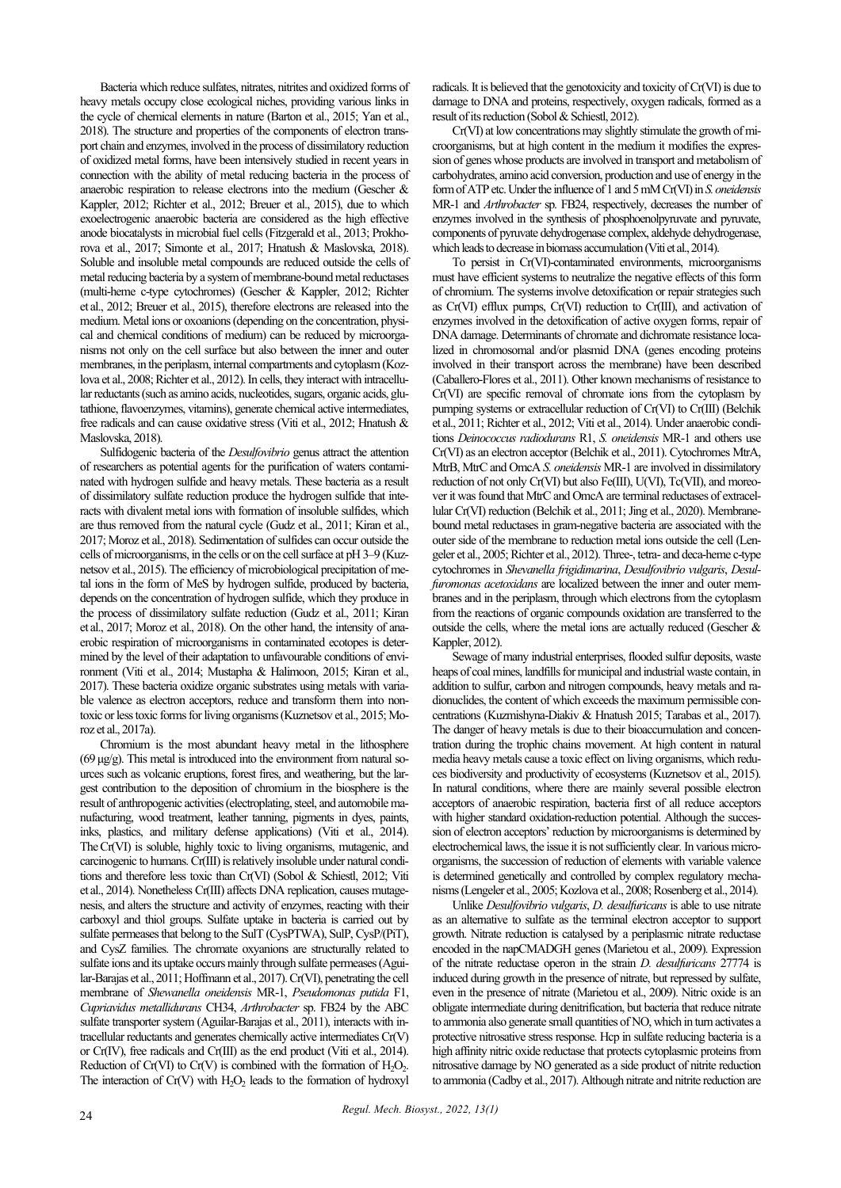Bacteria which reduce sulfates, nitrates, nitrites and oxidized forms of heavy metals occupy close ecological niches, providing various links in the cycle of chemical elements in nature (Barton et al., 2015; Yan et al., 2018). The structure and properties of the components of electron transport chain and enzymes, involved in the process of dissimilatory reduction of oxidized metal forms, have been intensively studied in recent years in connection with the ability of metal reducing bacteria in the process of anaerobic respiration to release electrons into the medium (Gescher & Kappler, 2012; Richter et al., 2012; Breuer et al., 2015), due to which exoelectrogenic anaerobic bacteria are considered as the high effective anode biocatalysts in microbial fuel cells (Fitzgerald et al., 2013; Prokhorova et al., 2017; Simonte et al., 2017; Hnatush & Maslovska, 2018). Soluble and insoluble metal compounds are reduced outside the cells of metal reducing bacteria by a system of membrane-bound metal reductases (multi-heme c-type cytochromes) (Gescher & Kappler, 2012; Richter et al., 2012; Breuer et al., 2015), therefore electrons are released into the medium. Metal ions or oxoanions (depending on the concentration, physical and chemical conditions of medium) can be reduced by microorganisms not only on the cell surface but also between the inner and outer membranes, in the periplasm, internal compartments and cytoplasm (Kozlova et al., 2008; Richter et al., 2012). In cells, they interact with intracellular reductants (such as amino acids, nucleotides, sugars, organic acids, glutathione, flavoenzymes, vitamins), generate chemical active intermediates, free radicals and can cause oxidative stress (Viti et al., 2012; Hnatush & Maslovska, 2018).

Sulfidogenic bacteria of the *Desulfovibrio* genus attract the attention of researchers as potential agents for the purification of waters contaminated with hydrogen sulfide and heavy metals. These bacteria as a result of dissimilatory sulfate reduction produce the hydrogen sulfide that interacts with divalent metal ions with formation of insoluble sulfides, which are thus removed from the natural cycle (Gudz et al., 2011; Kiran et al., 2017; Moroz et al., 2018). Sedimentation of sulfides can occur outside the cells of microorganisms, in the cells or on the cell surface at pH 3–9 (Kuznetsov et al., 2015). The efficiency of microbiological precipitation of metal ions in the form of MeS by hydrogen sulfide, produced by bacteria, depends on the concentration of hydrogen sulfide, which they produce in the process of dissimilatory sulfate reduction (Gudz et al., 2011; Kiran et al., 2017; Moroz et al., 2018). On the other hand, the intensity of anaerobic respiration of microorganisms in contaminated ecotopes is determined by the level of their adaptation to unfavourable conditions of environment (Viti et al., 2014; Mustapha & Halimoon, 2015; Kiran et al., 2017). These bacteria oxidize organic substrates using metals with variable valence as electron acceptors, reduce and transform them into nontoxic or less toxic forms for living organisms (Kuznetsov et al., 2015; Moroz et al., 2017a).

Chromium is the most abundant heavy metal in the lithosphere  $(69 \mu g/g)$ . This metal is introduced into the environment from natural sources such as volcanic eruptions, forest fires, and weathering, but the largest contribution to the deposition of chromium in the biosphere is the result of anthropogenic activities (electroplating, steel, and automobile manufacturing, wood treatment, leather tanning, pigments in dyes, paints, inks, plastics, and military defense applications) (Viti et al., 2014). TheCr(VI) is soluble, highly toxic to living organisms, mutagenic, and carcinogenic to humans. Cr(III) is relatively insoluble under natural conditions and therefore less toxic than Cr(VI) (Sobol & Schiestl, 2012; Viti et al., 2014). Nonetheless Cr(III) affects DNA replication, causes mutagenesis, and alters the structure and activity of enzymes, reacting with their carboxyl and thiol groups. Sulfate uptake in bacteria is carried out by sulfate permeases that belong to the SulT (CysPTWA), SulP, CysP/(PiT), and CysZ families. The chromate oxyanions are structurally related to sulfate ions and its uptake occurs mainly through sulfate permeases (Aguilar-Barajas et al., 2011; Hoffmann et al., 2017). Cr(VI), penetrating the cell membrane of *Shewanella oneidensis* MR-1, *Pseudomonas putida* F1, *Cupriavidus metallidurans* CH34, *Arthrobacter* sp. FB24 by the ABC sulfate transporter system (Aguilar-Barajas et al., 2011), interacts with intracellular reductants and generates chemically active intermediates Cr(V) or Cr(IV), free radicals and Cr(III) as the end product (Viti et al., 2014). Reduction of Cr(VI) to Cr(V) is combined with the formation of  $H_2O_2$ . The interaction of  $Cr(V)$  with  $H_2O_2$  leads to the formation of hydroxyl

radicals. It is believed that the genotoxicity and toxicity of Cr(VI) is due to damage to DNA and proteins, respectively, oxygen radicals, formed as a result of its reduction (Sobol & Schiestl, 2012).

Cr(VI) at low concentrations may slightly stimulate the growth of microorganisms, but at high content in the medium it modifies the expression of genes whose products are involved in transport and metabolism of carbohydrates, amino acid conversion, production and use of energy in the form of ATP etc. Under the influence of 1 and 5 mM Cr(VI) in *S. oneidensis* MR-1 and *Arthrobacter* sp. FB24, respectively, decreases the number of enzymes involved in the synthesis of phosphoenolpyruvate and pyruvate, components of pyruvate dehydrogenase complex, aldehyde dehydrogenase, which leads to decrease in biomass accumulation (Viti et al., 2014).

To persist in Cr(VI)-contaminated environments, microorganisms must have efficient systems to neutralize the negative effects of this form of chromium. The systems involve detoxification or repair strategies such as Cr(VI) efflux pumps, Cr(VI) reduction to Cr(III), and activation of enzymes involved in the detoxification of active oxygen forms, repair of DNA damage. Determinants of chromate and dichromate resistance localized in chromosomal and/or plasmid DNA (genes encoding proteins involved in their transport across the membrane) have been described (Caballero-Flores et al., 2011). Other known mechanisms of resistance to Cr(VI) are specific removal of chromate ions from the cytoplasm by pumping systems or extracellular reduction of Cr(VI) to Cr(III) (Belchik et al., 2011; Richter et al., 2012; Viti et al., 2014). Under anaerobic conditions *Deinococcus radiodurans* R1, *S. oneidensis* MR-1 and others use Cr(VI) as an electron acceptor (Belchik et al., 2011). Cytochromes MtrA, MtrB, MtrC and OmcA *S. oneidensis* MR-1 are involved in dissimilatory reduction of not only Cr(VI) but also Fe(III), U(VI), Tc(VII), and moreover it was found that MtrC and OmcA are terminal reductases of extracellular Cr(VI) reduction (Belchik et al., 2011; Jing et al., 2020). Membranebound metal reductases in gram-negative bacteria are associated with the outer side of the membrane to reduction metal ions outside the cell (Lengeler et al., 2005; Richter et al., 2012). Three-, tetra- and deca-heme c-type cytochromes in *Shevanella frigidimarina*, *Desulfovibrio vulgaris*, *Desulfuromonas acetoxidans* are localized between the inner and outer membranes and in the periplasm, through which electrons from the cytoplasm from the reactions of organic compounds oxidation are transferred to the outside the cells, where the metal ions are actually reduced (Gescher & Kappler, 2012).

Sewage of many industrial enterprises, flooded sulfur deposits, waste heaps of coal mines, landfills for municipal and industrial waste contain, in addition to sulfur, carbon and nitrogen compounds, heavy metals and radionuclides, the content of which exceeds the maximum permissible concentrations (Kuzmishyna-Diakiv & Hnatush 2015; Tarabas et al., 2017). The danger of heavy metals is due to their bioaccumulation and concentration during the trophic chains movement. At high content in natural media heavy metals cause a toxic effect on living organisms, which reduces biodiversity and productivity of ecosystems (Kuznetsov et al., 2015). In natural conditions, where there are mainly several possible electron acceptors of anaerobic respiration, bacteria first of all reduce acceptors with higher standard oxidation-reduction potential. Although the succession of electron acceptors' reduction by microorganisms is determined by electrochemical laws, the issue it is not sufficiently clear. In various microorganisms, the succession of reduction of elements with variable valence is determined genetically and controlled by complex regulatory mechanisms (Lengeler et al., 2005; Kozlova et al., 2008; Rosenberg et al., 2014).

Unlike *Desulfovibrio vulgaris*, *D. desulfuricans* is able to use nitrate as an alternative to sulfate as the terminal electron acceptor to support growth. Nitrate reduction is catalysed by a periplasmic nitrate reductase encoded in the napCMADGH genes (Marietou et al., 2009). Expression of the nitrate reductase operon in the strain *D. desulfuricans* 27774 is induced during growth in the presence of nitrate, but repressed by sulfate, even in the presence of nitrate (Marietou et al., 2009). Nitric oxide is an obligate intermediate during denitrification, but bacteria that reduce nitrate to ammonia also generate small quantities of NO, which in turn activates a protective nitrosative stress response. Hcp in sulfate reducing bacteria is a high affinity nitric oxide reductase that protects cytoplasmic proteins from nitrosative damage by NO generated as a side product of nitrite reduction to ammonia (Cadby et al., 2017). Although nitrate and nitrite reduction are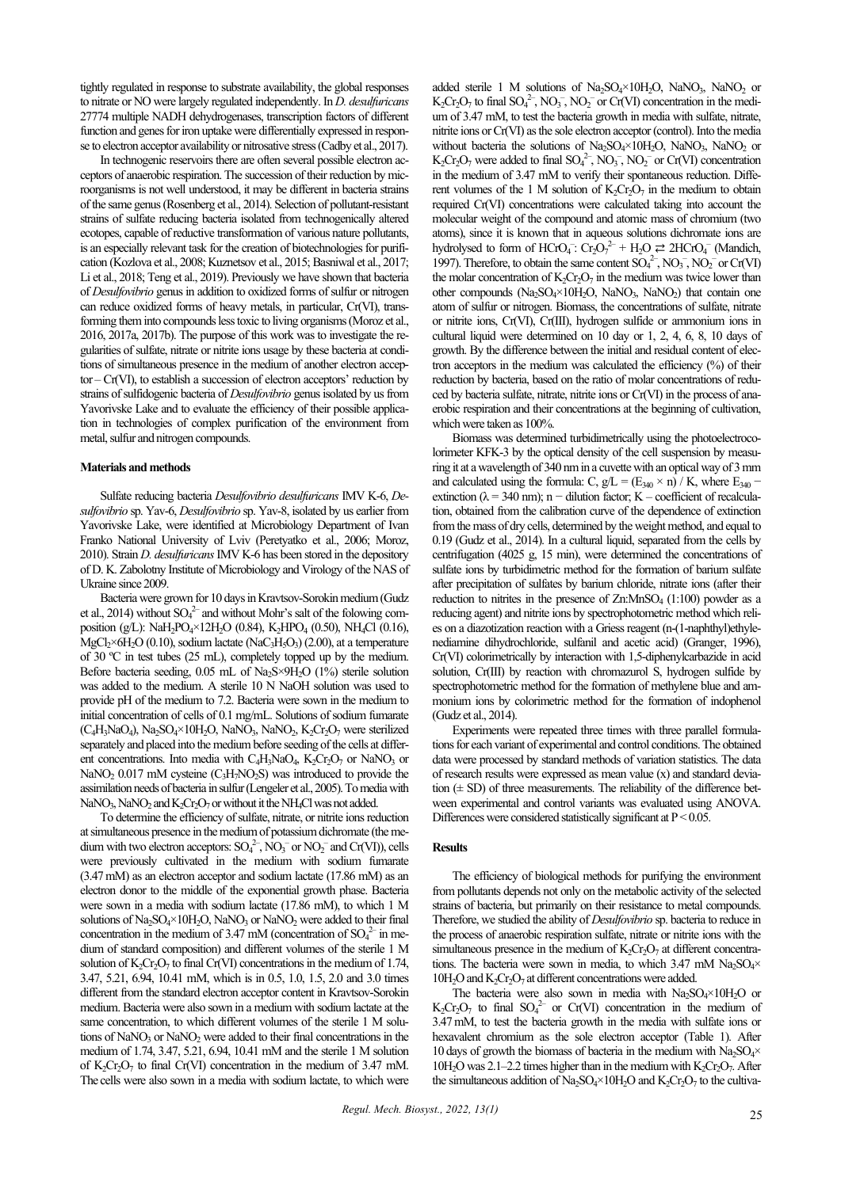tightly regulated in response to substrate availability, the global responses to nitrate or NO were largely regulated independently. In *D. desulfuricans* 27774 multiple NADH dehydrogenases, transcription factors of different function and genes for iron uptake were differentially expressed in response to electron acceptor availability or nitrosative stress (Cadby et al., 2017).

In technogenic reservoirs there are often several possible electron acceptors of anaerobic respiration. The succession of their reduction by microorganisms is not well understood, it may be different in bacteria strains of the same genus (Rosenberg et al., 2014). Selection of pollutant-resistant strains of sulfate reducing bacteria isolated from technogenically altered ecotopes, capable of reductive transformation of various nature pollutants, is an especially relevant task for the creation of biotechnologies for purification (Kozlova et al., 2008; Kuznetsov et al., 2015; Basniwal et al., 2017; Li et al., 2018; Teng et al., 2019). Previously we have shown that bacteria of *Desulfovibrio* genus in addition to oxidized forms of sulfur or nitrogen can reduce oxidized forms of heavy metals, in particular, Cr(VI), transforming them into compounds less toxic to living organisms (Moroz et al., 2016, 2017a, 2017b). The purpose of this work was to investigate the regularities of sulfate, nitrate or nitrite ions usage by these bacteria at conditions of simultaneous presence in the medium of another electron acceptor – Cr(VI), to establish a succession of electron acceptors' reduction by strains of sulfidogenic bacteria of *Desulfovibrio* genus isolated by us from Yavorivske Lake and to evaluate the efficiency of their possible application in technologies of complex purification of the environment from metal, sulfur and nitrogen compounds.

#### **Materials and methods**

Sulfate reducing bacteria *Desulfovibrio desulfuricans* IMV K-6, *Desulfovibrio* sp. Yav-6, *Desulfovibrio* sp. Yav-8, isolated by us earlier from Yavorivske Lake, were identified at Microbiology Department of Ivan Franko National University of Lviv (Peretyatko et al., 2006; Moroz, 2010). Strain *D. desulfuricans*IMV K-6 has been stored in the depository of D. K. Zabolotny Institute of Microbiology and Virology of the NAS of Ukraine since 2009.

Bacteria were grown for 10 days in Kravtsov-Sorokin medium (Gudz et al., 2014) without  $SO_4^2$  and without Mohr's salt of the folowing composition (g/L): NaH<sub>2</sub>PO<sub>4</sub>×12H<sub>2</sub>O (0.84), K<sub>2</sub>HPO<sub>4</sub> (0.50), NH<sub>4</sub>Cl (0.16),  $MgCl<sub>2</sub>×6H<sub>2</sub>O (0.10)$ , sodium lactate (NaC<sub>3</sub>H<sub>5</sub>O<sub>3</sub>) (2.00), at a temperature of 30 ºC in test tubes (25 mL), completely topped up by the medium. Before bacteria seeding,  $0.05$  mL of Na<sub>2</sub>S×9H<sub>2</sub>O (1%) sterile solution was added to the medium. A sterile 10 N NaOH solution was used to provide pH of the medium to 7.2. Bacteria were sown in the medium to initial concentration of cells of 0.1 mg/mL. Solutions of sodium fumarate  $(C_4H_3NaO_4)$ , Na<sub>2</sub>SO<sub>4</sub>×10H<sub>2</sub>O, NaNO<sub>3</sub>, NaNO<sub>2</sub>, K<sub>2</sub>Cr<sub>2</sub>O<sub>7</sub> were sterilized separately and placed into the medium before seeding of the cells at different concentrations. Into media with  $C_4H_3NaO_4$ ,  $K_2Cr_2O_7$  or NaNO<sub>3</sub> or NaNO<sub>2</sub> 0.017 mM cysteine  $(C_3H_7NO_2S)$  was introduced to provide the assimilation needs of bacteria in sulfur (Lengeler et al., 2005). To media with NaNO<sub>3</sub>, NaNO<sub>2</sub> and  $K_2Cr_2O_7$  or without it the NH<sub>4</sub>Cl was not added.

To determine the efficiency of sulfate, nitrate, or nitrite ions reduction at simultaneous presence in the medium of potassium dichromate (the medium with two electron acceptors:  $SO_4^2$ ,  $NO_3^-$  or  $NO_2^-$  and  $Cr(VI)$ ), cells were previously cultivated in the medium with sodium fumarate (3.47mM) as an electron acceptor and sodium lactate (17.86 mM) as an electron donor to the middle of the exponential growth phase. Bacteria were sown in a media with sodium lactate (17.86 mM), to which 1 M solutions of  $Na<sub>2</sub>SO<sub>4</sub>×10H<sub>2</sub>O$ , NaNO<sub>3</sub> or NaNO<sub>2</sub> were added to their final concentration in the medium of 3.47 mM (concentration of  $SO_4^{2-}$  in medium of standard composition) and different volumes of the sterile 1 M solution of  $K_2Cr_2O_7$  to final Cr(VI) concentrations in the medium of 1.74, 3.47, 5.21, 6.94, 10.41 mM, which is in 0.5, 1.0, 1.5, 2.0 and 3.0 times different from the standard electron acceptor content in Kravtsov-Sorokin medium. Bacteria were also sown in a medium with sodium lactate at the same concentration, to which different volumes of the sterile 1 M solutions of  $NaNO<sub>3</sub>$  or  $NaNO<sub>2</sub>$  were added to their final concentrations in the medium of 1.74, 3.47, 5.21, 6.94, 10.41 mM and the sterile 1 M solution of  $K_2Cr_2O_7$  to final Cr(VI) concentration in the medium of 3.47 mM. The cells were also sown in a media with sodium lactate, to which were

added sterile 1 M solutions of  $Na_2SO_4\times10H_2O$ , NaNO<sub>3</sub>, NaNO<sub>2</sub> or  $K_2Cr_2O_7$  to final  $SO_4^{2-}$ ,  $NO_3^-$ ,  $NO_2^-$  or  $Cr(VI)$  concentration in the medium of 3.47 mM, to test the bacteria growth in media with sulfate, nitrate, nitrite ions or Cr(VI) as the sole electron acceptor (control). Into the media without bacteria the solutions of  $Na<sub>2</sub>SO<sub>4</sub>×10H<sub>2</sub>O$ ,  $NaNO<sub>3</sub>$ ,  $NaNO<sub>2</sub>$  or  $K_2Cr_2O_7$  were added to final  $SO_4^{2-}$ ,  $NO_3^-$ ,  $NO_2^-$  or  $Cr(VI)$  concentration in the medium of 3.47 mM to verify their spontaneous reduction. Different volumes of the 1 M solution of  $K_2Cr_2O_7$  in the medium to obtain required Cr(VI) concentrations were calculated taking into account the molecular weight of the compound and atomic mass of chromium (two atoms), since it is known that in aqueous solutions dichromate ions are hydrolysed to form of HCrO<sub>4</sub>:  $Cr_2O_7^{2-} + H_2O \rightleftharpoons 2HCrO_4^-$  (Mandich, 1997). Therefore, to obtain the same content  $SO_4^2$ ,  $NO_3^-$ ,  $NO_2^-$  or  $Cr(VI)$ the molar concentration of  $K_2Cr_2O_7$  in the medium was twice lower than other compounds  $(Na_2SO_4\times10H_2O, NaNO_3, NaNO_2)$  that contain one atom of sulfur or nitrogen. Biomass, the concentrations of sulfate, nitrate or nitrite ions, Cr(VI), Cr(III), hydrogen sulfide or ammonium ions in cultural liquid were determined on 10 day or 1, 2, 4, 6, 8, 10 days of growth. By the difference between the initial and residual content of electron acceptors in the medium was calculated the efficiency (%) of their reduction by bacteria, based on the ratio of molar concentrations of reduced by bacteria sulfate, nitrate, nitrite ions or Cr(VI) in the process of anaerobic respiration and their concentrations at the beginning of cultivation, which were taken as 100%.

Biomass was determined turbidimetrically using the photoelectrocolorimeter KFK-3 by the optical density of the cell suspension by measuring it at a wavelength of 340 nm in a cuvette with an optical way of 3 mm and calculated using the formula: C,  $g/L = (E_{340} \times n) / K$ , where  $E_{340}$  – extinction ( $\lambda$  = 340 nm); n – dilution factor; K – coefficient of recalculation, obtained from the calibration curve of the dependence of extinction from the mass of dry cells, determined by the weight method, and equal to 0.19 (Gudz et al., 2014). In a cultural liquid, separated from the cells by centrifugation (4025 g, 15 min), were determined the concentrations of sulfate ions by turbidimetric method for the formation of barium sulfate after precipitation of sulfates by barium chloride, nitrate ions (after their reduction to nitrites in the presence of  $Zn$ :MnSO<sub>4</sub> (1:100) powder as a reducing agent) and nitrite ions by spectrophotometric method which relies on a diazotization reaction with a Griess reagent (n-(1-naphthyl)ethylenediamine dihydrochloride, sulfanil and acetic acid) (Granger, 1996), Cr(VI) colorimetrically by interaction with 1,5-diphenylcarbazide in acid solution, Cr(III) by reaction with chromazurol S, hydrogen sulfide by spectrophotometric method for the formation of methylene blue and ammonium ions by colorimetric method for the formation of indophenol (Gudz et al., 2014).

Experiments were repeated three times with three parallel formulations for each variant of experimental and control conditions. The obtained data were processed by standard methods of variation statistics. The data of research results were expressed as mean value (х) and standard deviation  $(\pm SD)$  of three measurements. The reliability of the difference between experimental and control variants was evaluated using ANOVA. Differences were considered statistically significant at  $P < 0.05$ .

## **Results**

The efficiency of biological methods for purifying the environment from pollutants depends not only on the metabolic activity of the selected strains of bacteria, but primarily on their resistance to metal compounds. Therefore, we studied the ability of *Desulfovibrio* sp. bacteria to reduce in the process of anaerobic respiration sulfate, nitrate or nitrite ions with the simultaneous presence in the medium of  $K_2Cr_2O_7$  at different concentrations. The bacteria were sown in media, to which 3.47 mM  $Na<sub>2</sub>SO<sub>4</sub>×$  $10H<sub>2</sub>O$  and  $K<sub>2</sub>Cr<sub>2</sub>O<sub>7</sub>$  at different concentrations were added.

The bacteria were also sown in media with  $Na<sub>2</sub>SO<sub>4</sub>×10H<sub>2</sub>O$  or  $K_2Cr_2O_7$  to final  $SO_4^2$  or Cr(VI) concentration in the medium of 3.47mM, to test the bacteria growth in the media with sulfate ions or hexavalent chromium as the sole electron acceptor (Table 1). After 10 days of growth the biomass of bacteria in the medium with  $Na<sub>2</sub>SO<sub>4</sub>×$ 10H<sub>2</sub>O was 2.1–2.2 times higher than in the medium with  $K_2Cr_2O_7$ . After the simultaneous addition of  $Na<sub>2</sub>SO<sub>4</sub>×10H<sub>2</sub>O$  and  $K<sub>2</sub>Cr<sub>2</sub>O<sub>7</sub>$  to the cultiva-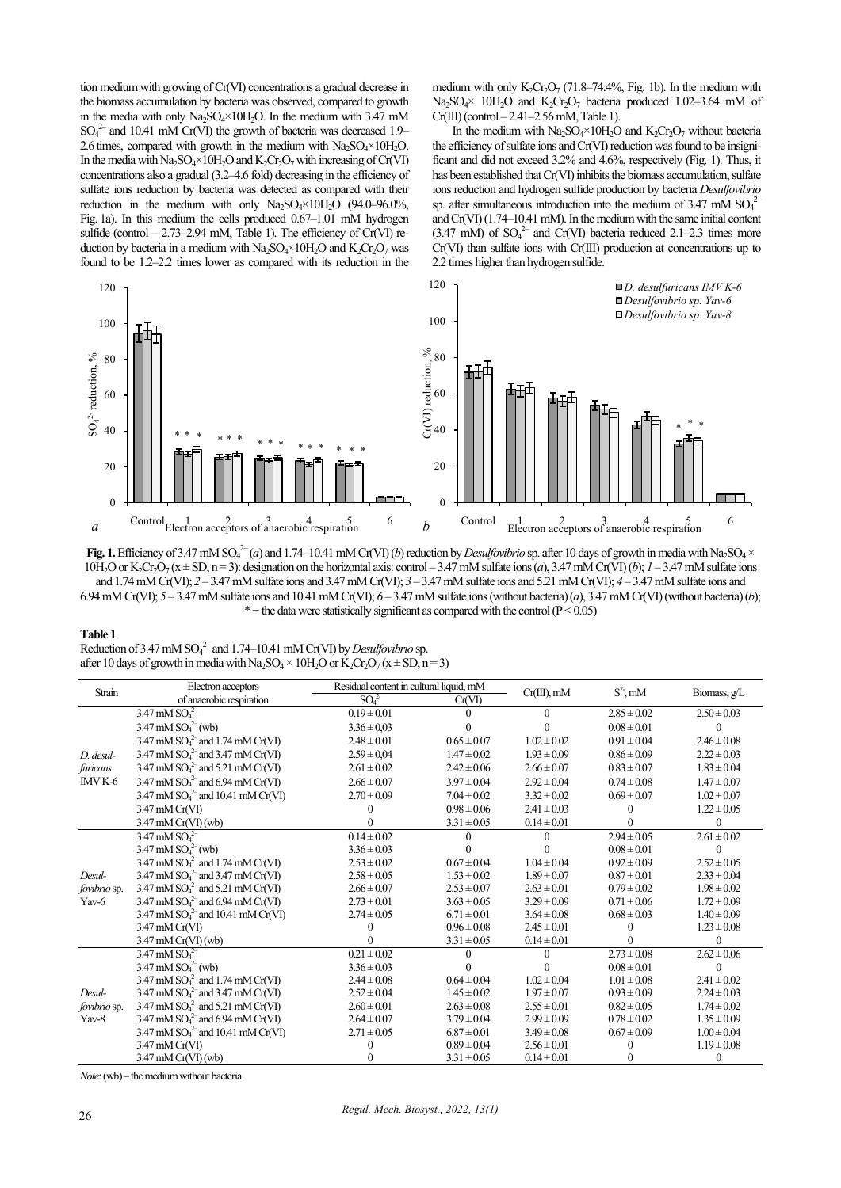tion medium with growing of Cr(VI) concentrations a gradual decrease in the biomass accumulation by bacteria was observed, compared to growth in the media with only  $\text{Na}_2\text{SO}_4\times10\text{H}_2\text{O}$ . In the medium with 3.47 mM  $SO_4^2$  and 10.41 mM Cr(VI) the growth of bacteria was decreased 1.9– 2.6 times, compared with growth in the medium with  $Na<sub>2</sub>SO<sub>4</sub>×10H<sub>2</sub>O$ . In the media with  $Na_2SO_4 \times 10H_2O$  and  $K_2Cr_2O_7$  with increasing of Cr(VI) concentrations also a gradual (3.2–4.6 fold) decreasing in the efficiency of sulfate ions reduction by bacteria was detected as compared with their reduction in the medium with only  $Na<sub>2</sub>SO<sub>4</sub>×10H<sub>2</sub>O$  (94.0–96.0%, Fig. 1a). In this medium the cells produced 0.67–1.01 mM hydrogen sulfide (control  $-2.73-2.94$  mM, Table 1). The efficiency of Cr(VI) reduction by bacteria in a medium with  $Na<sub>2</sub>SO<sub>4</sub>×10H<sub>2</sub>O$  and  $K<sub>2</sub>Cr<sub>2</sub>O<sub>7</sub>$  was found to be 1.2–2.2 times lower as compared with its reduction in the

medium with only  $K_2Cr_2O_7$  (71.8–74.4%, Fig. 1b). In the medium with Na<sub>2</sub>SO<sub>4</sub>× 10H<sub>2</sub>O and K<sub>2</sub>Cr<sub>2</sub>O<sub>7</sub> bacteria produced 1.02–3.64 mM of  $Cr(III)$  (control  $-2.41-2.56$  mM, Table 1).

In the medium with  $Na_2SO_4\times10H_2O$  and  $K_2Cr_2O_7$  without bacteria the efficiency of sulfate ions and Cr(VI) reduction was found to be insignificant and did not exceed 3.2% and 4.6%, respectively (Fig. 1). Thus, it has been established that Cr(VI) inhibits the biomass accumulation, sulfate ions reduction and hydrogen sulfide production by bacteria *Desulfovibrio* sp. after simultaneous introduction into the medium of 3.47 mM  $SO_4^2$ and Cr(VI) (1.74–10.41 mM). In the medium with the same initial content  $(3.47 \text{ mM})$  of  $SO_4^{2-}$  and Cr(VI) bacteria reduced 2.1–2.3 times more Cr(VI) than sulfate ions with Cr(III) production at concentrations up to 2.2 times higher than hydrogen sulfide.



**Fig. 1.** Efficiency of 3.47 mM SO<sub>4</sub><sup>2-</sup> (*a*) and 1.74–10.41 mM Cr(VI) (*b*) reduction by *Desulfovibrio* sp. after 10 days of growth in media with Na<sub>2</sub>SO<sub>4</sub> × 10H<sub>2</sub>O or K<sub>2</sub>Cr<sub>2</sub>O<sub>7</sub> ( $x \pm SD$ , n=3): designation on the horizontal axis: control – 3.47 mM sulfate ions (*a*), 3.47 mM Cr(VI) (*b*); *1* – 3.47 mM sulfate ions and 1.74 mM Cr(VI); *2* – 3.47 mM sulfate ions and 3.47 mM Cr(VI); *3* – 3.47 mM sulfate ions and 5.21 mM Cr(VI); *4* – 3.47 mM sulfate ions and 6.94 mM Cr(VI);  $5 - 3.47$  mM sulfate ions and 10.41 mM Cr(VI);  $6 - 3.47$  mM sulfate ions (without bacteria)  $(a)$ ,  $3.47$  mM Cr(VI) (without bacteria)  $(b)$ ; \* − the data were statistically significant as compared with the control (Р < 0.05)

#### **Table 1**

Reduction of 3.47 mM  $\text{SO}_4^2$  and 1.74–10.41 mM Cr(VI) by *Desulfovibrio* sp. after 10 days of growth in media with Na<sub>2</sub>SO<sub>4</sub>  $\times$  10H<sub>2</sub>O or K<sub>2</sub>Cr<sub>2</sub>O<sub>7</sub> (x  $\pm$  SD, n = 3)

| Strain                          | Electron acceptors                                      | Residual content in cultural liquid, mM |                 | $Cr(III)$ , mM  | $S^2$ , mM      | Biomass, g/L    |
|---------------------------------|---------------------------------------------------------|-----------------------------------------|-----------------|-----------------|-----------------|-----------------|
|                                 | of anaerobic respiration                                | SO <sub>4</sub> <sup>2</sup>            | Cr(VI)          |                 |                 |                 |
|                                 | $3.47 \text{ mM } SO42$                                 | $0.19 \pm 0.01$                         |                 | $\theta$        | $2.85 \pm 0.02$ | $2.50 \pm 0.03$ |
|                                 | $3.47 \text{ mM } SO_4^{2-}$ (wb)                       | $3.36 \pm 0.03$                         |                 | $\Omega$        | $0.08 \pm 0.01$ | $\Omega$        |
|                                 | 3.47 mM $SO_4^2$ and 1.74 mM Cr(VI)                     | $2.48 \pm 0.01$                         | $0.65 \pm 0.07$ | $1.02 \pm 0.02$ | $0.91 \pm 0.04$ | $2.46 \pm 0.08$ |
| $D.$ desul-                     | $3.47 \text{ mM } SO_4^2$ and $3.47 \text{ mM } Cr(VI)$ | $2.59 \pm 0.04$                         | $1.47 \pm 0.02$ | $1.93 \pm 0.09$ | $0.86 \pm 0.09$ | $2.22 \pm 0.03$ |
| furicans                        | 3.47 mM $SO_4^2$ and 5.21 mM Cr(VI)                     | $2.61 \pm 0.02$                         | $2.42 \pm 0.06$ | $2.66 \pm 0.07$ | $0.83 \pm 0.07$ | $1.83 \pm 0.04$ |
| IMV K-6                         | $3.47 \text{ mM } SO_4^2$ and 6.94 mM Cr(VI)            | $2.66 \pm 0.07$                         | $3.97 \pm 0.04$ | $2.92 \pm 0.04$ | $0.74 \pm 0.08$ | $1.47 \pm 0.07$ |
|                                 | 3.47 mM $SO_4^2$ and 10.41 mM Cr(VI)                    | $2.70 \pm 0.09$                         | $7.04 \pm 0.02$ | $3.32 \pm 0.02$ | $0.69 \pm 0.07$ | $1.02 \pm 0.07$ |
|                                 | 3.47 mM Cr(VI)                                          |                                         | $0.98 \pm 0.06$ | $2.41 \pm 0.03$ | $\Omega$        | $1.22 \pm 0.05$ |
|                                 | $3.47 \text{ mM Cr(VI)}$ (wb)                           |                                         | $3.31 \pm 0.05$ | $0.14 \pm 0.01$ | $\Omega$        | $\Omega$        |
|                                 | $3.47 \text{ mM } SO_4^2$                               | $0.14 \pm 0.02$                         |                 |                 | $2.94 \pm 0.05$ | $2.61 \pm 0.02$ |
|                                 | $3.47 \text{ mM } SO_4^{2-}$ (wb)                       | $3.36 \pm 0.03$                         |                 |                 | $0.08 \pm 0.01$ |                 |
|                                 | 3.47 mM $SO_4^2$ and 1.74 mM Cr(VI)                     | $2.53 \pm 0.02$                         | $0.67 \pm 0.04$ | $1.04 \pm 0.04$ | $0.92 \pm 0.09$ | $2.52 \pm 0.05$ |
| Desul-                          | $3.47 \text{ mM } SO_4^2$ and $3.47 \text{ mM } Cr(VI)$ | $2.58 \pm 0.05$                         | $1.53 \pm 0.02$ | $1.89 \pm 0.07$ | $0.87 \pm 0.01$ | $2.33 \pm 0.04$ |
| fovibrio sp.                    | 3.47 mM $SO_4^2$ and 5.21 mM Cr(VI)                     | $2.66 \pm 0.07$                         | $2.53 \pm 0.07$ | $2.63 \pm 0.01$ | $0.79 \pm 0.02$ | $1.98 \pm 0.02$ |
| Yav-6                           | 3.47 mM $SO_4^2$ and 6.94 mM Cr(VI)                     | $2.73 \pm 0.01$                         | $3.63 \pm 0.05$ | $3.29 \pm 0.09$ | $0.71 \pm 0.06$ | $1.72 \pm 0.09$ |
|                                 | 3.47 mM $SO_4^2$ and 10.41 mM Cr(VI)                    | $2.74 \pm 0.05$                         | $6.71 \pm 0.01$ | $3.64 \pm 0.08$ | $0.68 \pm 0.03$ | $1.40 \pm 0.09$ |
|                                 | 3.47 mM Cr(VI)                                          |                                         | $0.96 \pm 0.08$ | $2.45 \pm 0.01$ | $\Omega$        | $1.23 \pm 0.08$ |
|                                 | $3.47 \text{ mM Cr(VI)}$ (wb)                           |                                         | $3.31 \pm 0.05$ | $0.14 \pm 0.01$ | 0               | 0               |
|                                 | $3.47 \text{ mM } SO_4^2$                               | $0.21 \pm 0.02$                         |                 | 0               | $2.73 \pm 0.08$ | $2.62 \pm 0.06$ |
|                                 | $3.47 \text{ mM } SO_4^{2-}$ (wb)                       | $3.36 \pm 0.03$                         |                 |                 | $0.08 \pm 0.01$ | $\Omega$        |
|                                 | 3.47 mM $SO_4^2$ and 1.74 mM Cr(VI)                     | $2.44 \pm 0.08$                         | $0.64 \pm 0.04$ | $1.02 \pm 0.04$ | $1.01 \pm 0.08$ | $2.41 \pm 0.02$ |
| Desul-<br>fovibrio sp.<br>Yav-8 | $3.47 \text{ mM } SO_4^2$ and $3.47 \text{ mM } Cr(VI)$ | $2.52 \pm 0.04$                         | $1.45 \pm 0.02$ | $1.97 \pm 0.07$ | $0.93 \pm 0.09$ | $2.24 \pm 0.03$ |
|                                 | 3.47 mM $SO_4^2$ and 5.21 mM Cr(VI)                     | $2.60 \pm 0.01$                         | $2.63 \pm 0.08$ | $2.55 \pm 0.01$ | $0.82 \pm 0.05$ | $1.74 \pm 0.02$ |
|                                 | 3.47 mM $SO_4^2$ and 6.94 mM Cr(VI)                     | $2.64 \pm 0.07$                         | $3.79 \pm 0.04$ | $2.99 \pm 0.09$ | $0.78 \pm 0.02$ | $1.35 \pm 0.09$ |
|                                 | $3.47 \text{ mM } SO_4^{2-}$ and 10.41 mM Cr(VI)        | $2.71 \pm 0.05$                         | $6.87 \pm 0.01$ | $3.49 \pm 0.08$ | $0.67 \pm 0.09$ | $1.00 \pm 0.04$ |
|                                 | 3.47 mM Cr(VI)                                          |                                         | $0.89 \pm 0.04$ | $2.56 \pm 0.01$ | 0               | $1.19 \pm 0.08$ |
|                                 | $3.47 \text{ mM Cr(VI)}$ (wb)                           |                                         | $3.31 \pm 0.05$ | $0.14 \pm 0.01$ | 0               | $\Omega$        |

*Note*: (wb) – the medium without bacteria.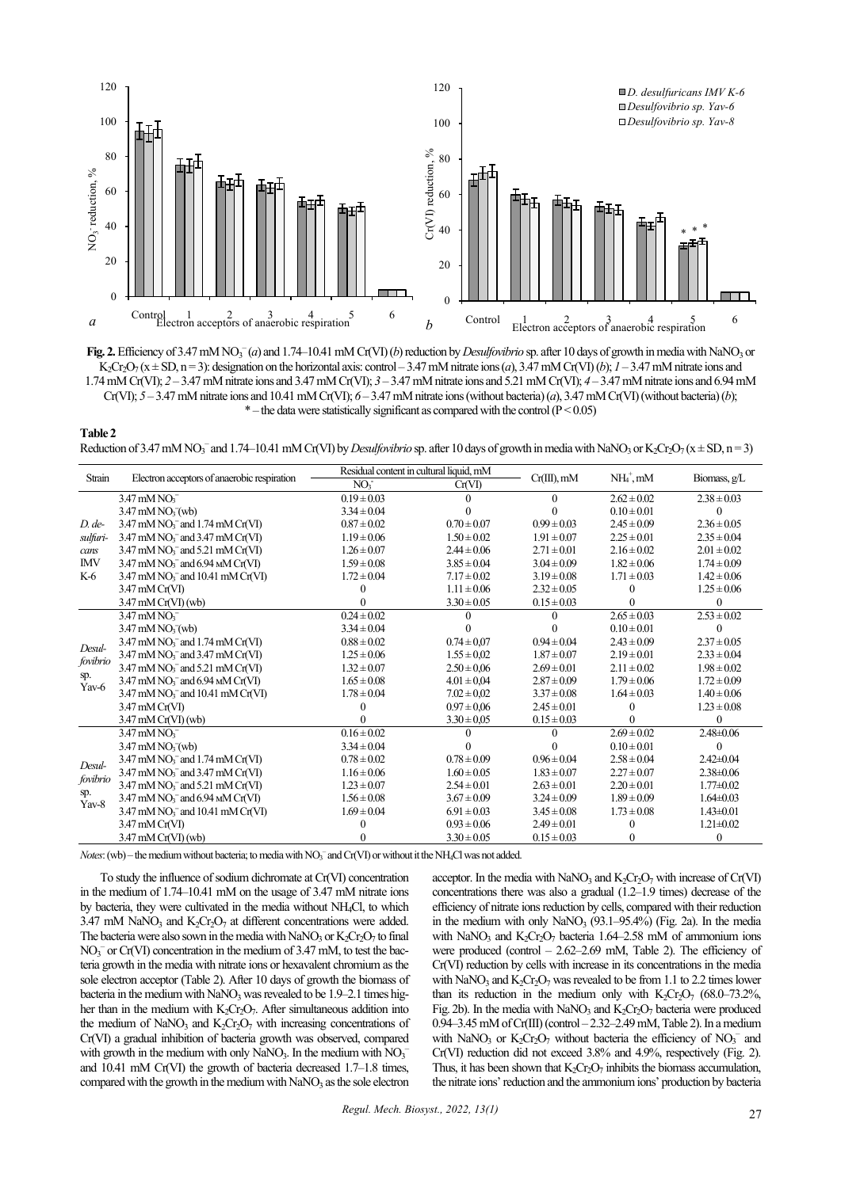

Fig. 2. Efficiency of 3.47 mM NO<sub>3</sub><sup>-</sup>(*a*) and 1.74–10.41 mM Cr(VI) (*b*) reduction by *Desulfovibrio* sp. after 10 days of growth in media with NaNO<sub>3</sub> or K<sub>2</sub>Cr<sub>2</sub>O<sub>7</sub> ( $x \pm SD$ ,  $n=3$ ): designation on the horizontal axis: control – 3.47 mM nitrate ions (*a*), 3.47 mM Cr(VI) (*b*); *1* – 3.47 mM nitrate ions and 1.74mM Cr(VI); *2* – 3.47 mM nitrate ions and 3.47 mM Cr(VI); *3* – 3.47 mM nitrate ions and 5.21 mM Cr(VI); *4* – 3.47 mM nitrate ions and 6.94 mM Cr(VI); *5* – 3.47 mM nitrate ions and 10.41mM Cr(VI); *6* – 3.47 mM nitrate ions (without bacteria) (*a*), 3.47 mM Cr(VI) (without bacteria) (*b*);  $*$  – the data were statistically significant as compared with the control ( $P < 0.05$ )

**Table 2** Reduction of 3.47 mM NO<sub>3</sub><sup>-</sup> and 1.74–10.41 mM Cr(VI) by *Desulfovibrio* sp. after 10 days of growth in media with NaNO<sub>3</sub> or K<sub>2</sub>Cr<sub>2</sub>O<sub>7</sub> ( $x \pm SD$ , n = 3)

| Strain                   | Electron acceptors of anaerobic respiration                    | Residual content in cultural liquid, mM |                 |                 |                 |                 |
|--------------------------|----------------------------------------------------------------|-----------------------------------------|-----------------|-----------------|-----------------|-----------------|
|                          |                                                                | NO <sub>i</sub>                         | Cr(VI)          | $Cr(III)$ , mM  | $NH4$ , mM      | Biomass, $g/L$  |
|                          | $3.47 \text{ mM NO}^{-}$                                       | $0.19 \pm 0.03$                         |                 | $\theta$        | $2.62 \pm 0.02$ | $2.38 \pm 0.03$ |
|                          | $3.47 \text{ mM NO}^{-}_{3}(\text{wb})$                        | $3.34 \pm 0.04$                         |                 |                 | $0.10 \pm 0.01$ | 0               |
| $D$ . de-                | $3.47 \text{ mM NO}_3^-$ and $1.74 \text{ mM Cr(VI)}$          | $0.87 \pm 0.02$                         | $0.70 \pm 0.07$ | $0.99 \pm 0.03$ | $2.45 \pm 0.09$ | $2.36 \pm 0.05$ |
| sulfuri-                 | $3.47$ mM NO <sub>3</sub> <sup>-</sup> and $3.47$ mM Cr(VI)    | $1.19 \pm 0.06$                         | $1.50 \pm 0.02$ | $1.91 \pm 0.07$ | $2.25 \pm 0.01$ | $2.35 \pm 0.04$ |
| cans                     | $3.47 \text{ mM NO}$ <sub>3</sub> and $5.21 \text{ mM Cr(V)}$  | $1.26 \pm 0.07$                         | $2.44 \pm 0.06$ | $2.71 \pm 0.01$ | $2.16 \pm 0.02$ | $2.01 \pm 0.02$ |
| <b>IMV</b>               | $3.47 \text{ mM NO}_3^-$ and $6.94 \text{ M}$ Cr(VI)           | $1.59 \pm 0.08$                         | $3.85 \pm 0.04$ | $3.04 \pm 0.09$ | $1.82 \pm 0.06$ | $1.74 \pm 0.09$ |
| K-6                      | $3.47 \text{ mM NO}_3^-$ and $10.41 \text{ mM Cr(VI)}$         | $1.72 \pm 0.04$                         | $7.17 \pm 0.02$ | $3.19 \pm 0.08$ | $1.71 \pm 0.03$ | $1.42 \pm 0.06$ |
|                          | $3.47 \text{ mM Cr(VI)}$                                       |                                         | $1.11 \pm 0.06$ | $2.32 \pm 0.05$ | 0               | $1.25 \pm 0.06$ |
|                          | $3.47 \text{ mM Cr(VI)}$ (wb)                                  |                                         | $3.30 \pm 0.05$ | $0.15 \pm 0.03$ | 0               | $\Omega$        |
|                          | $3.47 \text{ mM NO}^{-}$                                       | $0.24 \pm 0.02$                         |                 | 0               | $2.65 \pm 0.03$ | $2.53 \pm 0.02$ |
|                          | $3.47 \text{ mM NO}^{-}_{3}(\text{wb})$                        | $3.34 \pm 0.04$                         |                 |                 | $0.10 \pm 0.01$ | 0               |
| Desul-                   | $3.47 \text{ mM NO}_3^-$ and $1.74 \text{ mM Cr(VI)}$          | $0.88 \pm 0.02$                         | $0.74 \pm 0.07$ | $0.94 \pm 0.04$ | $2.43 \pm 0.09$ | $2.37 \pm 0.05$ |
|                          | $3.47 \text{ mM NO}_3^-$ and $3.47 \text{ mM Cr(VI)}$          | $1.25 \pm 0.06$                         | $1.55 \pm 0.02$ | $1.87 \pm 0.07$ | $2.19 \pm 0.01$ | $2.33 \pm 0.04$ |
| fovibrio                 | $3.47 \text{ mM NO}_3^-$ and $5.21 \text{ mM Cr(VI)}$          | $1.32 \pm 0.07$                         | $2.50 \pm 0.06$ | $2.69 \pm 0.01$ | $2.11 \pm 0.02$ | $1.98 \pm 0.02$ |
| sp.<br>Yav-6             | $3.47 \text{ mM NO}_3^-$ and $6.94 \text{ M}$ Cr(VI)           | $1.65 \pm 0.08$                         | $4.01 \pm 0.04$ | $2.87 \pm 0.09$ | $1.79 \pm 0.06$ | $1.72 \pm 0.09$ |
|                          | $3.47 \text{ mM NO}_3^-$ and $10.41 \text{ mM Cr(VI)}$         | $1.78 \pm 0.04$                         | $7.02 \pm 0.02$ | $3.37 \pm 0.08$ | $1.64 \pm 0.03$ | $1.40 \pm 0.06$ |
|                          | $3.47 \text{ mM Cr(VI)}$                                       |                                         | $0.97 \pm 0.06$ | $2.45 \pm 0.01$ | 0               | $1.23 \pm 0.08$ |
|                          | $3.47 \text{ mM Cr(VI)}$ (wb)                                  |                                         | $3.30 \pm 0.05$ | $0.15 \pm 0.03$ |                 | $\Omega$        |
|                          | $3.47 \text{ mM }$ NO <sub>3</sub>                             | $0.16 \pm 0.02$                         |                 | $\theta$        | $2.69 \pm 0.02$ | $2.48\pm0.06$   |
|                          | $3.47 \text{ mM NO}^{-}_{3}(\text{wb})$                        | $3.34 \pm 0.04$                         |                 | 0               | $0.10 \pm 0.01$ | $\Omega$        |
| Desul-                   | $3.47 \text{ mM NO}$ <sub>3</sub> and $1.74 \text{ mM Cr(VI)}$ | $0.78 \pm 0.02$                         | $0.78 \pm 0.09$ | $0.96 \pm 0.04$ | $2.58 \pm 0.04$ | $2.42 \pm 0.04$ |
| fovibrio<br>sp.<br>Yav-8 | $3.47 \text{ mM NO}_3^-$ and $3.47 \text{ mM Cr(VI)}$          | $1.16 \pm 0.06$                         | $1.60 \pm 0.05$ | $1.83 \pm 0.07$ | $2.27 \pm 0.07$ | $2.38\pm0.06$   |
|                          | $3.47 \text{ mM NO}_3^-$ and $5.21 \text{ mM Cr(VI)}$          | $1.23 \pm 0.07$                         | $2.54 \pm 0.01$ | $2.63 \pm 0.01$ | $2.20 \pm 0.01$ | $1.77 \pm 0.02$ |
|                          | $3.47 \text{ mM NO}_3^-$ and $6.94 \text{ M}$ Cr(VI)           | $1.56 \pm 0.08$                         | $3.67 \pm 0.09$ | $3.24 \pm 0.09$ | $1.89 \pm 0.09$ | $1.64 \pm 0.03$ |
|                          | $3.47 \text{ mM NO}_3^-$ and $10.41 \text{ mM Cr(VI)}$         | $1.69 \pm 0.04$                         | $6.91 \pm 0.03$ | $3.45 \pm 0.08$ | $1.73 \pm 0.08$ | $1.43 \pm 0.01$ |
|                          | $3.47 \text{ mM Cr(VI)}$                                       |                                         | $0.93 \pm 0.06$ | $2.49 \pm 0.01$ | $\Omega$        | $1.21 \pm 0.02$ |
|                          | 3.47 mM Cr(VI) (wb)                                            |                                         | $3.30 \pm 0.05$ | $0.15 \pm 0.03$ | $\mathbf{0}$    | 0               |

*Notes*: (wb) – the medium without bacteria; to media with NO<sub>3</sub><sup>-</sup> and Cr(VI) or without it the NH<sub>4</sub>Cl was not added.

To study the influence of sodium dichromate at Cr(VI) concentration in the medium of 1.74–10.41 mM on the usage of 3.47 mM nitrate ions by bacteria, they were cultivated in the media without  $NH<sub>4</sub>Cl$ , to which 3.47 mM NaNO<sub>3</sub> and  $K_2Cr_2O_7$  at different concentrations were added. The bacteria were also sown in the media with  $NaNO<sub>3</sub>$  or  $K<sub>2</sub>Cr<sub>2</sub>O<sub>7</sub>$  to final  $NO<sub>3</sub><sup>-</sup>$  or Cr(VI) concentration in the medium of 3.47 mM, to test the bacteria growth in the media with nitrate ions or hexavalent chromium as the sole electron acceptor (Table 2). After 10 days of growth the biomass of bacteria in the medium with  $NaNO<sub>3</sub>$  was revealed to be 1.9–2.1 times higher than in the medium with  $K_2Cr_2O_7$ . After simultaneous addition into the medium of NaNO<sub>3</sub> and K<sub>2</sub>Cr<sub>2</sub>O<sub>7</sub> with increasing concentrations of Cr(VI) a gradual inhibition of bacteria growth was observed, compared with growth in the medium with only NaNO<sub>3</sub>. In the medium with  $\text{NO}_3^$ and 10.41 mM Cr(VI) the growth of bacteria decreased 1.7–1.8 times, compared with the growth in the medium with  $NaNO<sub>3</sub>$  as the sole electron acceptor. In the media with NaNO<sub>3</sub> and  $K_2Cr_2O_7$  with increase of Cr(VI) concentrations there was also a gradual (1.2–1.9 times) decrease of the efficiency of nitrate ions reduction by cells, compared with their reduction in the medium with only  $NaNO<sub>3</sub>$  (93.1–95.4%) (Fig. 2a). In the media with NaNO<sub>3</sub> and K<sub>2</sub>Cr<sub>2</sub>O<sub>7</sub> bacteria 1.64–2.58 mM of ammonium ions were produced (control  $-2.62-2.69$  mM, Table 2). The efficiency of Cr(VI) reduction by cells with increase in its concentrations in the media with NaNO<sub>3</sub> and  $K_2Cr_2O_7$  was revealed to be from 1.1 to 2.2 times lower than its reduction in the medium only with  $K_2Cr_2O_7$  (68.0–73.2%, Fig. 2b). In the media with  $NaNO<sub>3</sub>$  and  $K<sub>2</sub>Cr<sub>2</sub>O<sub>7</sub>$  bacteria were produced 0.94–3.45 mM of Cr(III) (control  $-2.32$ –2.49 mM, Table 2). In a medium with NaNO<sub>3</sub> or  $K_2Cr_2O_7$  without bacteria the efficiency of NO<sub>3</sub><sup>-</sup> and Cr(VI) reduction did not exceed 3.8% and 4.9%, respectively (Fig. 2). Thus, it has been shown that  $K_2Cr_2O_7$  inhibits the biomass accumulation, the nitrate ions' reduction and the ammonium ions' production by bacteria

*Regul. Mech. Biosyst., 2022, 13(1)*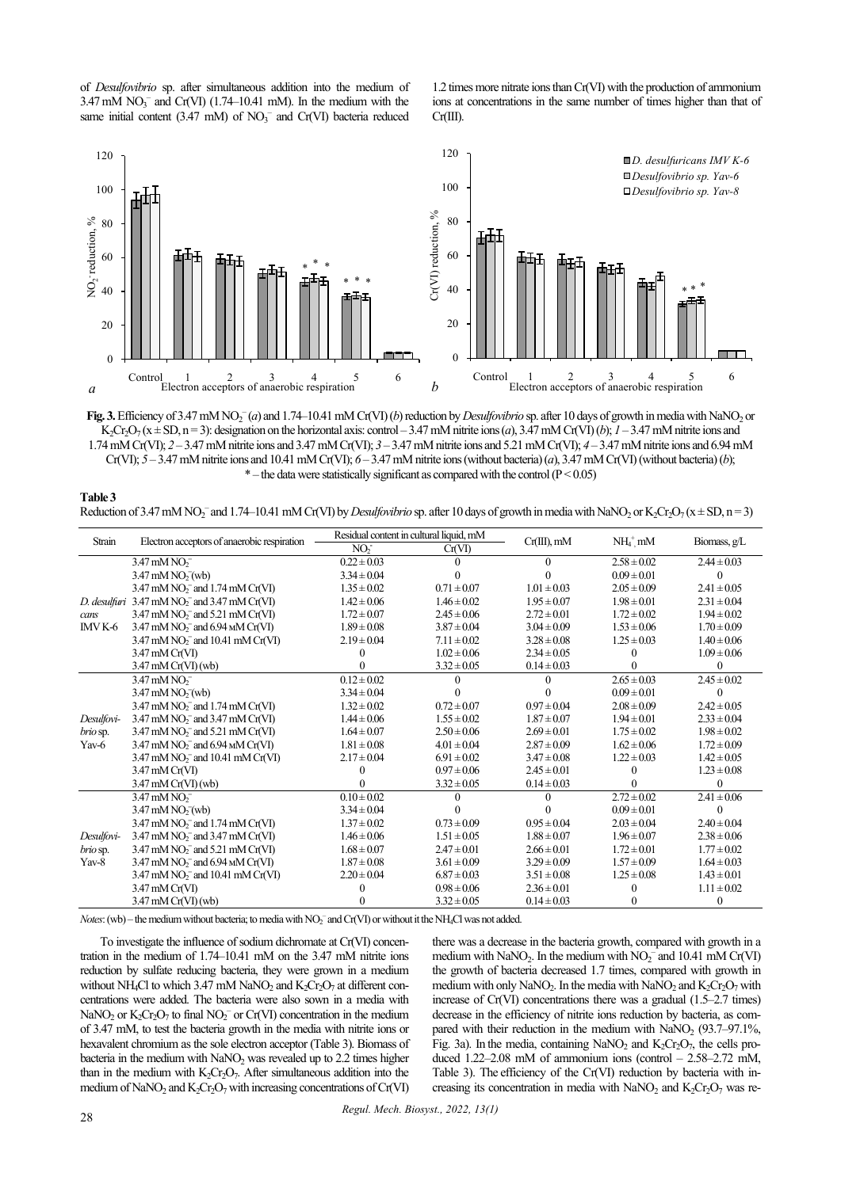of *Desulfovibrio* sp. after simultaneous addition into the medium of  $3.47 \text{ mM } NO_3^-$  and Cr(VI) (1.74–10.41 mM). In the medium with the same initial content (3.47 mM) of  $NO<sub>3</sub><sup>-</sup>$  and  $Cr(VI)$  bacteria reduced

1.2 times more nitrate ions than Cr(VI) with the production of ammonium ions at concentrations in the same number of times higher than that of Cr(III).



Fig. 3. Efficiency of 3.47 mM NO<sub>2</sub><sup>-</sup>(*a*) and 1.74–10.41 mM Cr(VI) (*b*) reduction by *Desulfovibrio* sp. after 10 days of growth in media with NaNO<sub>2</sub> or K<sub>2</sub>Cr<sub>2</sub>O<sub>7</sub> ( $x \pm SD$ ,  $n=3$ ): designation on the horizontal axis: control – 3.47 mM nitrite ions (*a*), 3.47 mM Cr(VI) (*b*); *1* – 3.47 mM nitrite ions and 1.74mM Cr(VI); *2* – 3.47 mM nitrite ions and 3.47 mM Cr(VI); *3* – 3.47 mM nitrite ions and 5.21 mM Cr(VI); *4* – 3.47 mM nitrite ions and 6.94 mM Cr(VI); *5* – 3.47 mM nitrite ions and 10.41 mM Cr(VI); *6* – 3.47 mM nitrite ions (without bacteria) (*a*), 3.47 mM Cr(VI) (without bacteria) (*b*);  $*$  – the data were statistically significant as compared with the control ( $P < 0.05$ )

| Table 3                                                                                                                                                                                                                                |
|----------------------------------------------------------------------------------------------------------------------------------------------------------------------------------------------------------------------------------------|
| Reduction of 3.47 mM NO <sub>2</sub> <sup>-</sup> and 1.74–10.41 mM Cr(VI) by <i>Desulfovibrio</i> sp. after 10 days of growth in media with NaNO <sub>2</sub> or K <sub>2</sub> Cr <sub>2</sub> O <sub>7</sub> ( $x \pm SD$ , $n=3$ ) |

|                                        | Electron acceptors of anaerobic respiration                                 | Residual content in cultural liquid, mM |                 |                 |                 |                 |
|----------------------------------------|-----------------------------------------------------------------------------|-----------------------------------------|-----------------|-----------------|-----------------|-----------------|
| Strain                                 |                                                                             | NO <sub>2</sub>                         | Cr(VI)          | $Cr(III)$ , mM  | $NH4+$ mM       | Biomass, g/L    |
|                                        | $3.47 \text{ mM NO}^{-}$                                                    | $0.22 \pm 0.03$                         |                 | $\theta$        | $2.58 \pm 0.02$ | $2.44 \pm 0.03$ |
|                                        | $3.47 \text{ mM NO}$ <sub>7</sub> $(\text{wb})$                             | $3.34 \pm 0.04$                         |                 |                 | $0.09 \pm 0.01$ | 0               |
|                                        | 3.47 mM $NO2-$ and 1.74 mM $Cr(VI)$                                         | $1.35 \pm 0.02$                         | $0.71 \pm 0.07$ | $1.01 \pm 0.03$ | $2.05 \pm 0.09$ | $2.41 \pm 0.05$ |
|                                        | D. desulfuri 3.47 mM NO <sub>2</sub> <sup>-</sup> and 3.47 mM Cr(VI)        | $1.42 \pm 0.06$                         | $1.46 \pm 0.02$ | $1.95 \pm 0.07$ | $1.98 \pm 0.01$ | $2.31 \pm 0.04$ |
| cans                                   | $3.47$ mM NO <sub>2</sub> <sup>-</sup> and $5.21$ mM Cr(VI)                 | $1.72 \pm 0.07$                         | $2.45 \pm 0.06$ | $2.72 \pm 0.01$ | $1.72 \pm 0.02$ | $1.94 \pm 0.02$ |
| IMV K-6                                | $3.47 \text{ mM NO}$ <sub>7</sub> and $6.94 \text{ M}$ Cr(VI)               | $1.89 \pm 0.08$                         | $3.87 \pm 0.04$ | $3.04 \pm 0.09$ | $1.53 \pm 0.06$ | $1.70 \pm 0.09$ |
|                                        | $3.47 \text{ mM NO}_2^-$ and $10.41 \text{ mM Cr(VI)}$                      | $2.19 \pm 0.04$                         | $7.11 \pm 0.02$ | $3.28 \pm 0.08$ | $1.25 \pm 0.03$ | $1.40 \pm 0.06$ |
|                                        | $3.47 \text{ mM Cr(VI)}$                                                    |                                         | $1.02 \pm 0.06$ | $2.34 \pm 0.05$ | $\Omega$        | $1.09 \pm 0.06$ |
|                                        | $3.47 \text{ mM Cr(VI)}$ (wb)                                               |                                         | $3.32 \pm 0.05$ | $0.14 \pm 0.03$ |                 | 0               |
|                                        | $3.47 \text{ mM NO}^{-}$                                                    | $0.12 \pm 0.02$                         |                 |                 | $2.65 \pm 0.03$ | $2.45 \pm 0.02$ |
|                                        | $3.47 \text{ mM NO}^{-}_{2}(\text{wb})$                                     | $3.34 \pm 0.04$                         |                 |                 | $0.09 \pm 0.01$ |                 |
|                                        | $3.47$ mM NO <sub>2</sub> <sup>-</sup> and 1.74 mM Cr(VI)                   | $1.32 \pm 0.02$                         | $0.72 \pm 0.07$ | $0.97 \pm 0.04$ | $2.08 \pm 0.09$ | $2.42 \pm 0.05$ |
| Desulfovi-                             | $3.47 \text{ mM}$ NO <sub>2</sub> <sup>-</sup> and $3.47 \text{ mM}$ Cr(VI) | $1.44 \pm 0.06$                         | $1.55 \pm 0.02$ | $1.87 \pm 0.07$ | $1.94 \pm 0.01$ | $2.33 \pm 0.04$ |
| <i>brio</i> sp.                        | $3.47 \text{ mM NO}$ <sub>7</sub> and $5.21 \text{ mM Cr(V)}$               | $1.64 \pm 0.07$                         | $2.50 \pm 0.06$ | $2.69 \pm 0.01$ | $1.75 \pm 0.02$ | $1.98 \pm 0.02$ |
| Yav-6                                  | $3.47 \text{ mM NO}$ <sub>7</sub> and $6.94 \text{ M}$ Cr(VI)               | $1.81 \pm 0.08$                         | $4.01 \pm 0.04$ | $2.87 \pm 0.09$ | $1.62 \pm 0.06$ | $1.72 \pm 0.09$ |
|                                        | $3.47 \text{ mM NO}_2^-$ and $10.41 \text{ mM Cr(VI)}$                      | $2.17 \pm 0.04$                         | $6.91 \pm 0.02$ | $3.47 \pm 0.08$ | $1.22 \pm 0.03$ | $1.42 \pm 0.05$ |
|                                        | $3.47 \text{ mM Cr(VI)}$                                                    |                                         | $0.97 \pm 0.06$ | $2.45 \pm 0.01$ | $\Omega$        | $1.23 \pm 0.08$ |
|                                        | $3.47 \text{ mM Cr(VI)}$ (wb)                                               |                                         | $3.32 \pm 0.05$ | $0.14 \pm 0.03$ |                 | 0               |
|                                        | $3.47 \text{ mM NO}^{-}$                                                    | $0.10 \pm 0.02$                         |                 |                 | $2.72 \pm 0.02$ | $2.41 \pm 0.06$ |
|                                        | $3.47 \text{ mM NO}^{-}_{2}(\text{wb})$                                     | $3.34 \pm 0.04$                         |                 |                 | $0.09 \pm 0.01$ | 0               |
|                                        | 3.47 mM $NO2-$ and 1.74 mM $Cr(VI)$                                         | $1.37 \pm 0.02$                         | $0.73 \pm 0.09$ | $0.95 \pm 0.04$ | $2.03 \pm 0.04$ | $2.40 \pm 0.04$ |
| Desulfovi-<br><i>brio</i> sp.<br>Yav-8 | $3.47 \text{ mM NO}_2^-$ and $3.47 \text{ mM Cr(VI)}$                       | $1.46 \pm 0.06$                         | $1.51 \pm 0.05$ | $1.88 \pm 0.07$ | $1.96 \pm 0.07$ | $2.38 \pm 0.06$ |
|                                        | $3.47 \text{ mM NO}_2^-$ and $5.21 \text{ mM Cr(VI)}$                       | $1.68 \pm 0.07$                         | $2.47 \pm 0.01$ | $2.66 \pm 0.01$ | $1.72 \pm 0.01$ | $1.77 \pm 0.02$ |
|                                        | $3.47 \text{ mM NO}_2^-$ and $6.94 \text{ M/Cr(VI)}$                        | $1.87 \pm 0.08$                         | $3.61 \pm 0.09$ | $3.29 \pm 0.09$ | $1.57 \pm 0.09$ | $1.64 \pm 0.03$ |
|                                        | $3.47$ mM NO <sub>2</sub> <sup>-</sup> and 10.41 mM Cr(VI)                  | $2.20 \pm 0.04$                         | $6.87 \pm 0.03$ | $3.51 \pm 0.08$ | $1.25 \pm 0.08$ | $1.43 \pm 0.01$ |
|                                        | $3.47 \text{ mM Cr(VI)}$                                                    |                                         | $0.98 \pm 0.06$ | $2.36 \pm 0.01$ |                 | $1.11 \pm 0.02$ |
|                                        | $3.47 \text{ mM Cr(VI)}$ (wb)                                               |                                         | $3.32 \pm 0.05$ | $0.14 \pm 0.03$ | $\theta$        | $^{(1)}$        |

*Notes*: (wb) – the medium without bacteria; to media with NO<sub>2</sub><sup>-</sup> and Cr(VI) or without it the NH<sub>4</sub>Cl was not added.

To investigate the influence of sodium dichromate at Cr(VI) concentration in the medium of 1.74–10.41 mM on the 3.47 mM nitrite ions reduction by sulfate reducing bacteria, they were grown in a medium without NH<sub>4</sub>Cl to which 3.47 mM NaNO<sub>2</sub> and K<sub>2</sub>Cr<sub>2</sub>O<sub>7</sub> at different concentrations were added. The bacteria were also sown in a media with NaNO<sub>2</sub> or  $K_2Cr_2O_7$  to final NO<sub>2</sub><sup>-</sup> or Cr(VI) concentration in the medium of 3.47 mM, to test the bacteria growth in the media with nitrite ions or hexavalent chromium as the sole electron acceptor (Table 3). Biomass of bacteria in the medium with NaNO<sub>2</sub> was revealed up to 2.2 times higher than in the medium with  $K_2Cr_2O_7$ . After simultaneous addition into the medium of NaNO<sub>2</sub> and  $K_2Cr_2O_7$  with increasing concentrations of Cr(VI)

there was a decrease in the bacteria growth, compared with growth in a medium with  $\text{NaNO}_2$ . In the medium with  $\text{NO}_2^-$  and 10.41 mM Cr(VI) the growth of bacteria decreased 1.7 times, compared with growth in medium with only NaNO<sub>2</sub>. In the media with NaNO<sub>2</sub> and  $K_2Cr_2O_7$  with increase of Cr(VI) concentrations there was a gradual (1.5–2.7 times) decrease in the efficiency of nitrite ions reduction by bacteria, as compared with their reduction in the medium with NaNO<sub>2</sub>  $(93.7–97.1\%)$ Fig. 3a). In the media, containing NaNO<sub>2</sub> and  $K_2Cr_2O_7$ , the cells produced  $1.22-2.08$  mM of ammonium ions (control  $- 2.58-2.72$  mM, Table 3). The efficiency of the Cr(VI) reduction by bacteria with increasing its concentration in media with  $NaNO<sub>2</sub>$  and  $K<sub>2</sub>Cr<sub>2</sub>O<sub>7</sub>$  was re-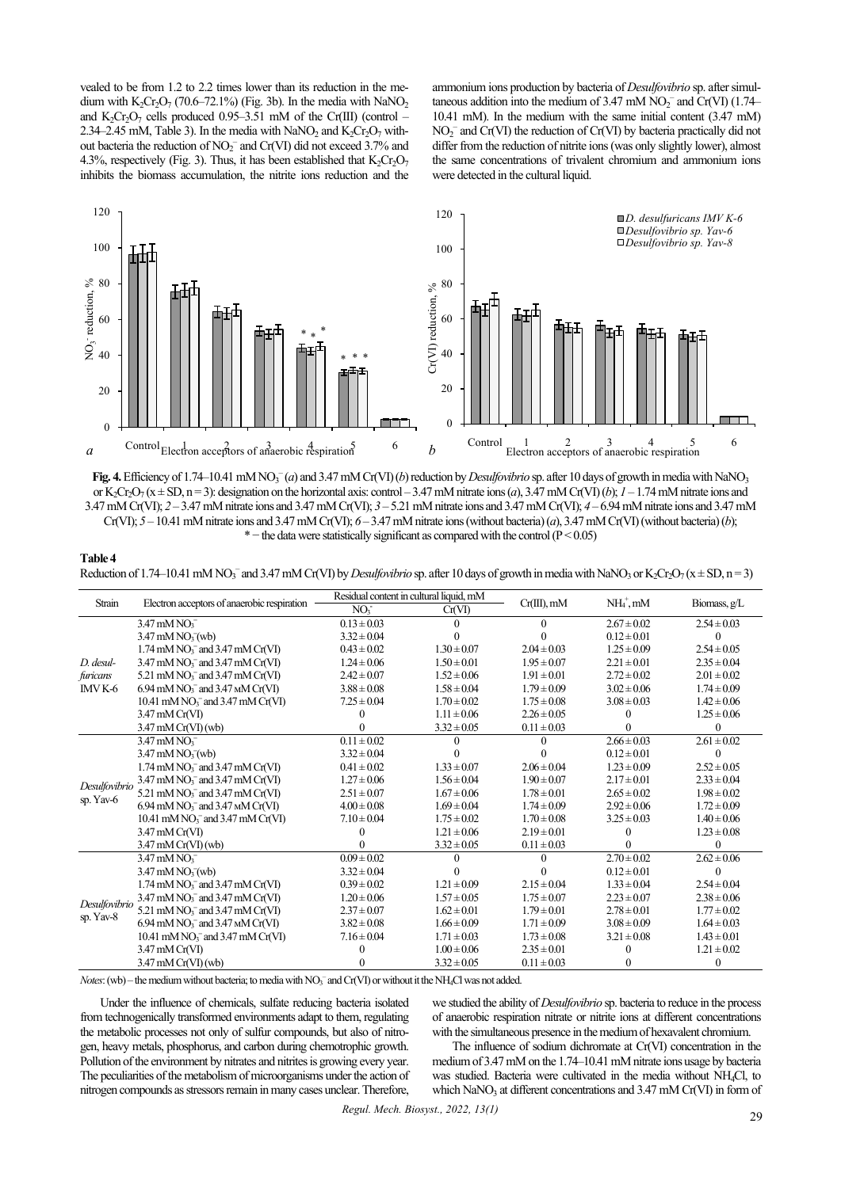vealed to be from 1.2 to 2.2 times lower than its reduction in the medium with  $K_2Cr_2O_7$  (70.6–72.1%) (Fig. 3b). In the media with NaNO<sub>2</sub> and  $K_2Cr_2O_7$  cells produced 0.95–3.51 mM of the Cr(III) (control – 2.34–2.45 mM, Table 3). In the media with NaNO<sub>2</sub> and K<sub>2</sub>Cr<sub>2</sub>O<sub>7</sub> without bacteria the reduction of  $NO_2^-$  and  $Cr(VI)$  did not exceed 3.7% and 4.3%, respectively (Fig. 3). Thus, it has been established that  $K_2Cr_2O_7$ inhibits the biomass accumulation, the nitrite ions reduction and the

ammonium ions production by bacteria of *Desulfovibrio* sp. after simultaneous addition into the medium of 3.47 mM  $NO<sub>2</sub><sup>-</sup>$  and  $Cr(VI)$  (1.74– 10.41 mM). In the medium with the same initial content (3.47 mM) NO2 – and Cr(VI) the reduction of Cr(VI) by bacteria practically did not differ from the reduction of nitrite ions (was only slightly lower), almost the same concentrations of trivalent chromium and ammonium ions were detected in the cultural liquid.



Fig. 4. Efficiency of 1.74–10.41 mM NO<sub>3</sub><sup>-</sup> (*a*) and 3.47 mM Cr(VI) (*b*) reduction by *Desulfovibrio* sp. after 10 days of growth in media with NaNO<sub>3</sub> or K<sub>2</sub>Cr<sub>2</sub>O<sub>7</sub> ( $x \pm SD$ ,  $n=3$ ): designation on the horizontal axis: control – 3.47 mM nitrate ions (*a*), 3.47 mM Cr(VI) (*b*); *1* – 1.74 mM nitrate ions and 3.47mM Cr(VI); *2* – 3.47 mM nitrate ions and 3.47 mM Cr(VI); *3* – 5.21 mM nitrate ions and 3.47 mM Cr(VI); *4* – 6.94 mM nitrate ions and 3.47 mM Cr(VI); *5* – 10.41 mM nitrate ions and 3.47 mM Cr(VI); *6* – 3.47 mM nitrate ions (without bacteria) (*a*), 3.47 mM Cr(VI) (without bacteria) (*b*); \* – the data were statistically significant as compared with the control ( $P < 0.05$ )

| Table 4                                                                                                                                                                                                                                |
|----------------------------------------------------------------------------------------------------------------------------------------------------------------------------------------------------------------------------------------|
| Reduction of 1.74–10.41 mM NO <sub>3</sub> <sup>-</sup> and 3.47 mM Cr(VI) by <i>Desulfovibrio</i> sp. after 10 days of growth in media with NaNO <sub>3</sub> or K <sub>2</sub> Cr <sub>2</sub> O <sub>7</sub> ( $x \pm SD$ , $n=3$ ) |

|                            | Electron acceptors of anaerobic respiration                         | Residual content in cultural liquid, mM |                 |                 |                 |                 |
|----------------------------|---------------------------------------------------------------------|-----------------------------------------|-----------------|-----------------|-----------------|-----------------|
| Strain                     |                                                                     | NO <sub>i</sub>                         | Cr(VI)          | $Cr(III)$ , mM  | $NH4+, mM$      | Biomass, g/L    |
|                            | $3.47 \text{ mM }$ NO <sub>3</sub>                                  | $0.13 \pm 0.03$                         | 0               | $\Omega$        | $2.67 \pm 0.02$ | $2.54 \pm 0.03$ |
|                            | $3.47 \text{ mM NO}$ <sub>3</sub> $(\text{wb})$                     | $3.32 \pm 0.04$                         |                 |                 | $0.12 \pm 0.01$ |                 |
|                            | $1.74 \text{ mM NO}_3^-$ and $3.47 \text{ mM Cr(VI)}$               | $0.43 \pm 0.02$                         | $1.30 \pm 0.07$ | $2.04 \pm 0.03$ | $1.25 \pm 0.09$ | $2.54 \pm 0.05$ |
| $D.$ desul-                | $3.47 \text{ mM NO}_3^-$ and $3.47 \text{ mM Cr(VI)}$               | $1.24 \pm 0.06$                         | $1.50 \pm 0.01$ | $1.95 \pm 0.07$ | $2.21 \pm 0.01$ | $2.35 \pm 0.04$ |
| furicans                   | 5.21 mM $NO3-$ and 3.47 mM $Cr(VI)$                                 | $2.42 \pm 0.07$                         | $1.52 \pm 0.06$ | $1.91 \pm 0.01$ | $2.72 \pm 0.02$ | $2.01 \pm 0.02$ |
| IMV K-6                    | $6.94 \text{ mM NO}_3^-$ and $3.47 \text{ M}$ Cr(VI)                | $3.88 \pm 0.08$                         | $1.58 \pm 0.04$ | $1.79 \pm 0.09$ | $3.02 \pm 0.06$ | $1.74 \pm 0.09$ |
|                            | 10.41 mM $NO3-$ and 3.47 mM $Cr(VI)$                                | $7.25 \pm 0.04$                         | $1.70 \pm 0.02$ | $1.75 \pm 0.08$ | $3.08 \pm 0.03$ | $1.42 \pm 0.06$ |
|                            | $3.47 \text{ mM Cr(VI)}$                                            | 0                                       | $1.11 \pm 0.06$ | $2.26 \pm 0.05$ | 0               | $1.25 \pm 0.06$ |
|                            | $3.47 \text{ mM Cr(VI)}$ (wb)                                       |                                         | $3.32 \pm 0.05$ | $0.11 \pm 0.03$ | 0               | 0               |
|                            | $3.47 \text{ mM }$ NO $_2$                                          | $0.11 \pm 0.02$                         | $\Omega$        |                 | $2.66 \pm 0.03$ | $2.61 \pm 0.02$ |
|                            | $3.47 \text{ mM NO}_3^-(\text{wb})$                                 | $3.32 \pm 0.04$                         | 0               |                 | $0.12 \pm 0.01$ | $\Omega$        |
|                            | $1.74 \text{ mM NO}_3^-$ and $3.47 \text{ mM Cr(VI)}$               | $0.41 \pm 0.02$                         | $1.33 \pm 0.07$ | $2.06 \pm 0.04$ | $1.23 \pm 0.09$ | $2.52 \pm 0.05$ |
|                            | $3.47 \text{ mM NO}_3^-$ and $3.47 \text{ mM Cr(VI)}$               | $1.27 \pm 0.06$                         | $1.56 \pm 0.04$ | $1.90 \pm 0.07$ | $2.17 \pm 0.01$ | $2.33 \pm 0.04$ |
| Desulfovibrio              | 5.21 mM $NO3-$ and 3.47 mM $Cr(VI)$                                 | $2.51 \pm 0.07$                         | $1.67 \pm 0.06$ | $1.78 \pm 0.01$ | $2.65 \pm 0.02$ | $1.98 \pm 0.02$ |
| sp. Yav- $6$               | $6.94$ mM NO <sub>3</sub> <sup>-</sup> and 3.47 $\text{M}$ M Cr(VI) | $4.00 \pm 0.08$                         | $1.69 \pm 0.04$ | $1.74 \pm 0.09$ | $2.92 \pm 0.06$ | $1.72 \pm 0.09$ |
|                            | 10.41 mM $NO3-$ and 3.47 mM $Cr(VI)$                                | $7.10 \pm 0.04$                         | $1.75 \pm 0.02$ | $1.70 \pm 0.08$ | $3.25 \pm 0.03$ | $1.40 \pm 0.06$ |
|                            | $3.47 \text{ mM Cr(VI)}$                                            |                                         | $1.21 \pm 0.06$ | $2.19 \pm 0.01$ | 0               | $1.23 \pm 0.08$ |
|                            | $3.47 \text{ mM Cr(VI)}$ (wb)                                       |                                         | $3.32 \pm 0.05$ | $0.11 \pm 0.03$ |                 | $\theta$        |
|                            | $3.47 \text{ mM }$ NO $_2$                                          | $0.09 \pm 0.02$                         | 0               |                 | $2.70 \pm 0.02$ | $2.62 \pm 0.06$ |
|                            | $3.47 \text{ mM NO}_3$ (wb)                                         | $3.32 \pm 0.04$                         | 0               |                 | $0.12 \pm 0.01$ | 0               |
|                            | $1.74$ mM NO <sub>3</sub> <sup>-</sup> and 3.47 mM Cr(VI)           | $0.39 \pm 0.02$                         | $1.21 \pm 0.09$ | $2.15 \pm 0.04$ | $1.33 \pm 0.04$ | $2.54 \pm 0.04$ |
|                            | $3.47 \text{ mM NO}_3^-$ and $3.47 \text{ mM Cr(VI)}$               | $1.20 \pm 0.06$                         | $1.57 \pm 0.05$ | $1.75 \pm 0.07$ | $2.23 \pm 0.07$ | $2.38 \pm 0.06$ |
| Desulfovibrio<br>sp. Yav-8 | 5.21 mM $NO3-$ and 3.47 mM $Cr(VI)$                                 | $2.37 \pm 0.07$                         | $1.62 \pm 0.01$ | $1.79 \pm 0.01$ | $2.78 \pm 0.01$ | $1.77 \pm 0.02$ |
|                            | $6.94 \text{ mM NO}_3^-$ and $3.47 \text{ M}$ Cr(VI)                | $3.82 \pm 0.08$                         | $1.66 \pm 0.09$ | $1.71 \pm 0.09$ | $3.08 \pm 0.09$ | $1.64 \pm 0.03$ |
|                            | 10.41 mM $NO3-$ and 3.47 mM Cr(VI)                                  | $7.16 \pm 0.04$                         | $1.71 \pm 0.03$ | $1.73 \pm 0.08$ | $3.21 \pm 0.08$ | $1.43 \pm 0.01$ |
|                            | $3.47 \text{ mM Cr(VI)}$                                            |                                         | $1.00 \pm 0.06$ | $2.35 \pm 0.01$ |                 | $1.21 \pm 0.02$ |
|                            | $3.47 \text{ mM Cr(VI)}$ (wb)                                       | $\Omega$                                | $3.32 \pm 0.05$ | $0.11 \pm 0.03$ | 0               | $\theta$        |

*Notes*: (wb) – the medium without bacteria; to media with NO<sub>3</sub><sup>-</sup> and Cr(VI) or without it the NH<sub>4</sub>Cl was not added.

Under the influence of chemicals, sulfate reducing bacteria isolated from technogenically transformed environments adapt to them, regulating the metabolic processes not only of sulfur compounds, but also of nitrogen, heavy metals, phosphorus, and carbon during chemotrophic growth. Pollution of the environment by nitrates and nitrites is growing every year. The peculiarities of the metabolism of microorganisms under the action of nitrogen compounds as stressors remain in many cases unclear. Therefore,

we studied the ability of *Desulfovibrio* sp. bacteria to reduce in the process of anaerobic respiration nitrate or nitrite ions at different concentrations with the simultaneous presence in the medium of hexavalent chromium.

The influence of sodium dichromate at Cr(VI) concentration in the medium of 3.47 mM on the 1.74–10.41 mM nitrate ions usage by bacteria was studied. Bacteria were cultivated in the media without NH4Cl, to which NaNO<sub>3</sub> at different concentrations and 3.47 mM Cr(VI) in form of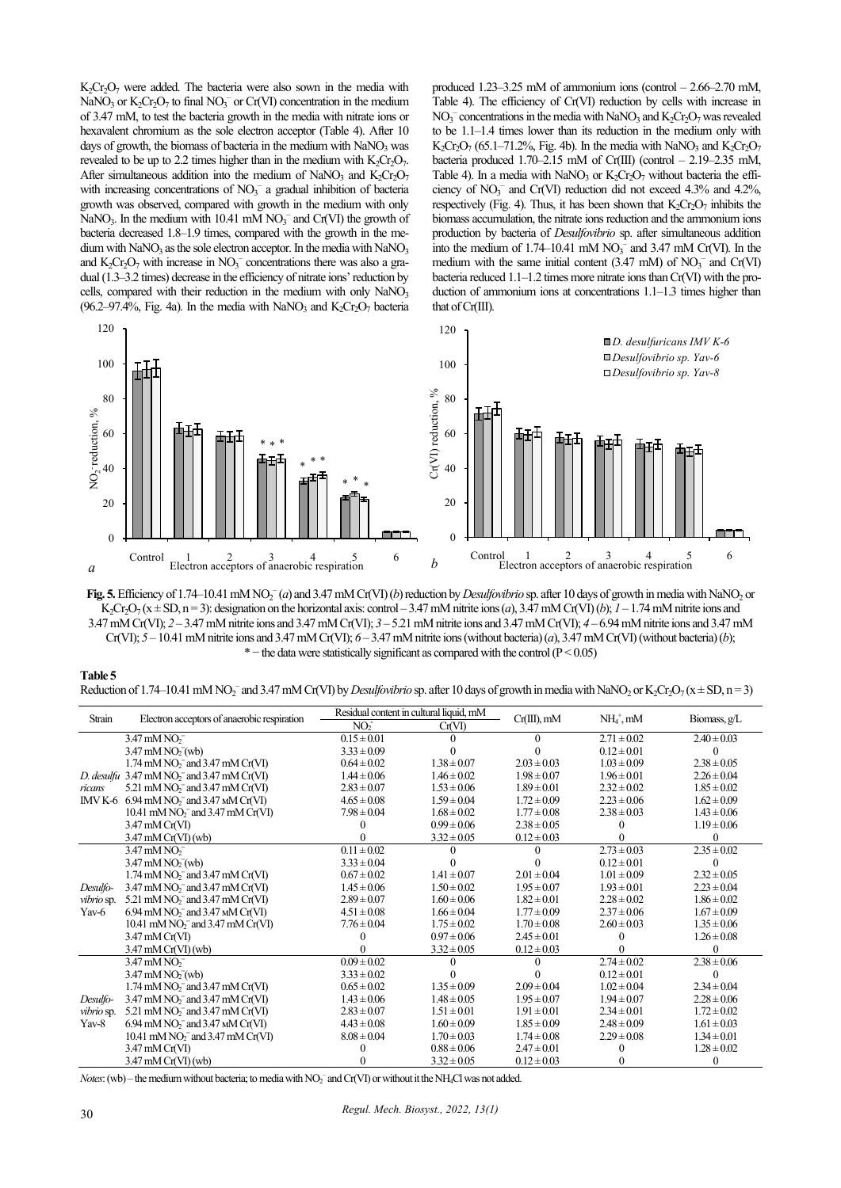$K<sub>2</sub>Cr<sub>2</sub>O<sub>7</sub>$  were added. The bacteria were also sown in the media with NaNO<sub>3</sub> or  $K_2Cr_2O_7$  to final NO<sub>3</sub><sup>-</sup> or Cr(VI) concentration in the medium of 3.47 mM, to test the bacteria growth in the media with nitrate ions or hexavalent chromium as the sole electron acceptor (Table 4). After 10 days of growth, the biomass of bacteria in the medium with NaNO3 was revealed to be up to 2.2 times higher than in the medium with  $K_2Cr_2O_7$ . After simultaneous addition into the medium of NaNO<sub>3</sub> and K<sub>2</sub>Cr<sub>2</sub>O<sub>7</sub> with increasing concentrations of  $NO<sub>3</sub><sup>-</sup>$  a gradual inhibition of bacteria growth was observed, compared with growth in the medium with only NaNO<sub>3</sub>. In the medium with 10.41 mM  $NO<sub>3</sub><sup>-</sup>$  and Cr(VI) the growth of bacteria decreased 1.8–1.9 times, compared with the growth in the medium with  $NaNO<sub>3</sub>$  as the sole electron acceptor. In the media with  $NaNO<sub>3</sub>$ and  $K_2Cr_2O_7$  with increase in  $NO_3^-$  concentrations there was also a gradual (1.3–3.2 times) decrease in the efficiency of nitrate ions' reduction by cells, compared with their reduction in the medium with only  $NaNO<sub>3</sub>$ (96.2–97.4%, Fig. 4a). In the media with NaNO<sub>3</sub> and  $K_2Cr_2O_7$  bacteria produced 1.23–3.25 mM of ammonium ions (control – 2.66–2.70 mM, Table 4). The efficiency of Cr(VI) reduction by cells with increase in  $NO_3^-$  concentrations in the media with NaNO<sub>3</sub> and  $K_2Cr_2O_7$  was revealed to be 1.1–1.4 times lower than its reduction in the medium only with K<sub>2</sub>Cr<sub>2</sub>O<sub>7</sub> (65.1–71.2%, Fig. 4b). In the media with NaNO<sub>3</sub> and K<sub>2</sub>Cr<sub>2</sub>O<sub>7</sub> bacteria produced 1.70–2.15 mM of Cr(III) (control – 2.19–2.35 mM, Table 4). In a media with NaNO<sub>3</sub> or  $K_2Cr_2O_7$  without bacteria the efficiency of  $NO_3^-$  and  $Cr(VI)$  reduction did not exceed 4.3% and 4.2%, respectively (Fig. 4). Thus, it has been shown that  $K_2Cr_2O_7$  inhibits the biomass accumulation, the nitrate ions reduction and the ammonium ions production by bacteria of *Desulfovibrio* sp. after simultaneous addition into the medium of 1.74–10.41 mM  $NO<sub>3</sub><sup>-</sup>$  and 3.47 mM Cr(VI). In the medium with the same initial content  $(3.47 \text{ mM})$  of  $NO<sub>3</sub><sup>-</sup>$  and  $Cr(VI)$ bacteria reduced 1.1–1.2 times more nitrate ions than Cr(VI) with the production of ammonium ions at concentrations 1.1–1.3 times higher than that of Cr(III).



Fig. 5. Efficiency of 1.74–10.41 mM NO<sub>2</sub><sup>-</sup>(*a*) and 3.47 mM Cr(VI) (*b*) reduction by *Desulfovibrio* sp. after 10 days of growth in media with NaNO<sub>2</sub> or K<sub>2</sub>Cr<sub>2</sub>O<sub>7</sub> ( $x \pm SD$ ,  $n=3$ ): designation on the horizontal axis: control – 3.47 mM nitrite ions (*a*), 3.47 mM Cr(VI) (*b*); *1* – 1.74 mM nitrite ions and 3.47mM Cr(VI); *2* – 3.47 mM nitrite ions and 3.47 mM Cr(VI); *3* – 5.21 mM nitrite ions and 3.47 mM Cr(VI); *4* – 6.94 mM nitrite ions and 3.47 mM Cr(VI); *5* – 10.41 mM nitrite ions and 3.47 mM Cr(VI); *6* – 3.47 mM nitrite ions (without bacteria) (*a*), 3.47 mM Cr(VI) (without bacteria) (*b*);  $*$  – the data were statistically significant as compared with the control ( $P < 0.05$ )

| Table 5                                                                                                                                                                                                                                |  |
|----------------------------------------------------------------------------------------------------------------------------------------------------------------------------------------------------------------------------------------|--|
| Reduction of 1.74–10.41 mM NO <sub>2</sub> <sup>-</sup> and 3.47 mM Cr(VI) by <i>Desulfovibrio</i> sp. after 10 days of growth in media with NaNO <sub>2</sub> or K <sub>2</sub> Cr <sub>2</sub> O <sub>7</sub> ( $x \pm SD$ , $n=3$ ) |  |

| Strain                          | Electron acceptors of anaerobic respiration                      | Residual content in cultural liquid, mM |                 |                 | $NH4$ , mM                            |                 |
|---------------------------------|------------------------------------------------------------------|-----------------------------------------|-----------------|-----------------|---------------------------------------|-----------------|
|                                 |                                                                  | NO <sub>2</sub>                         | Cr(VI)          | $Cr(III)$ , mM  |                                       | Biomass, g/L    |
|                                 | $3.47 \text{ mM NO}_2$                                           | $0.15 \pm 0.01$                         |                 |                 | $2.71 \pm 0.02$                       | $2.40 \pm 0.03$ |
|                                 | $3.47 \text{ mM NO}_2(wb)$                                       | $3.33 \pm 0.09$                         |                 |                 | $0.12 \pm 0.01$                       |                 |
|                                 | $1.74 \text{ mM NO}$ <sub>7</sub> and $3.47 \text{ mM Cr(VI)}$   | $0.64 \pm 0.02$                         | $1.38 \pm 0.07$ | $2.03 \pm 0.03$ | $1.03 \pm 0.09$                       | $2.38 \pm 0.05$ |
|                                 | D. desulfu $3.47 \text{ mM NO}_2^-$ and $3.47 \text{ mM Cr(VI)}$ | $1.44 \pm 0.06$                         | $1.46 \pm 0.02$ | $1.98 \pm 0.07$ | $1.96 \pm 0.01$                       | $2.26 \pm 0.04$ |
| ricans                          | $5.21 \text{ mM NO}$ <sub>7</sub> and $3.47 \text{ mM Cr(VI)}$   | $2.83 \pm 0.07$                         | $1.53 \pm 0.06$ | $1.89 \pm 0.01$ | $2.32 \pm 0.02$                       | $1.85 \pm 0.02$ |
|                                 | IMV K-6 6.94 mM $NO2-$ and 3.47 mM Cr(VI)                        | $4.65 \pm 0.08$                         | $1.59 \pm 0.04$ | $1.72 \pm 0.09$ | $2.23 \pm 0.06$                       | $1.62 \pm 0.09$ |
|                                 | $10.41 \text{ mM NO}_2^-$ and $3.47 \text{ mM Cr(VI)}$           | $7.98 \pm 0.04$                         | $1.68 \pm 0.02$ | $1.77 \pm 0.08$ | $2.38 \pm 0.03$                       | $1.43 \pm 0.06$ |
|                                 | $3.47 \text{ mM Cr(VI)}$                                         |                                         | $0.99 \pm 0.06$ | $2.38 \pm 0.05$ |                                       | $1.19 \pm 0.06$ |
|                                 | $3.47 \text{ mM Cr(VI)}$ (wb)                                    |                                         | $3.32 \pm 0.05$ | $0.12 \pm 0.03$ |                                       | $\Omega$        |
|                                 | $3.47 \text{ mM NO}^{-}$                                         | $\overline{0.11} \pm 0.02$              |                 |                 | $\frac{2.73 \pm 0.03}{2.73 \pm 0.03}$ | $2.35 \pm 0.02$ |
|                                 | $3.47 \text{ mM NO}_2(wb)$                                       | $3.33 \pm 0.04$                         |                 |                 | $0.12 \pm 0.01$                       |                 |
|                                 | $1.74$ mM NO <sub>2</sub> <sup>-</sup> and 3.47 mM Cr(VI)        | $0.67 \pm 0.02$                         | $1.41 \pm 0.07$ | $2.01 \pm 0.04$ | $1.01 \pm 0.09$                       | $2.32 \pm 0.05$ |
| Desulfo-                        | $3.47$ mM NO <sub>2</sub> <sup>-</sup> and $3.47$ mM Cr(VI)      | $1.45 \pm 0.06$                         | $1.50 \pm 0.02$ | $1.95 \pm 0.07$ | $1.93 \pm 0.01$                       | $2.23 \pm 0.04$ |
| vibrio sp.                      | 5.21 mM $NO2-$ and 3.47 mM Cr(VI)                                | $2.89 \pm 0.07$                         | $1.60 \pm 0.06$ | $1.82 \pm 0.01$ | $2.28 \pm 0.02$                       | $1.86 \pm 0.02$ |
| Yav-6                           | $6.94 \text{ mM NO}_2^-$ and $3.47 \text{ M}$ Cr(VI)             | $4.51 \pm 0.08$                         | $1.66 \pm 0.04$ | $1.77 \pm 0.09$ | $2.37 \pm 0.06$                       | $1.67 \pm 0.09$ |
|                                 | $10.41 \text{ mM NO}_2^-$ and $3.47 \text{ mM Cr(VI)}$           | $7.76 \pm 0.04$                         | $1.75 \pm 0.02$ | $1.70 \pm 0.08$ | $2.60 \pm 0.03$                       | $1.35 \pm 0.06$ |
|                                 | $3.47 \text{ mM Cr(VI)}$                                         |                                         | $0.97 \pm 0.06$ | $2.45 \pm 0.01$ |                                       | $1.26 \pm 0.08$ |
|                                 | $3.47 \text{ mM Cr(VI)}$ (wb)                                    |                                         | $3.32 \pm 0.05$ | $0.12 \pm 0.03$ |                                       | $\theta$        |
|                                 | $3.47 \text{ mM NO}^{-}$                                         | $0.09 \pm 0.02$                         |                 |                 | $2.74 \pm 0.02$                       | $2.38 \pm 0.06$ |
|                                 | $3.47 \text{ mM NO}^{-}_{2}(\text{wb})$                          | $3.33 \pm 0.02$                         |                 |                 | $0.12 \pm 0.01$                       |                 |
| Desulfo-<br>vibrio sp.<br>Yav-8 | $1.74 \text{ mM NO}_2^-$ and $3.47 \text{ mM Cr(VI)}$            | $0.65 \pm 0.02$                         | $1.35 \pm 0.09$ | $2.09 \pm 0.04$ | $1.02 \pm 0.04$                       | $2.34 \pm 0.04$ |
|                                 | $3.47 \text{ mM NO}_2^-$ and $3.47 \text{ mM Cr(VI)}$            | $1.43 \pm 0.06$                         | $1.48 \pm 0.05$ | $1.95 \pm 0.07$ | $1.94 \pm 0.07$                       | $2.28 \pm 0.06$ |
|                                 | 5.21 mM $NO2-$ and 3.47 mM Cr(VI)                                | $2.83 \pm 0.07$                         | $1.51 \pm 0.01$ | $1.91 \pm 0.01$ | $2.34 \pm 0.01$                       | $1.72 \pm 0.02$ |
|                                 | $6.94 \text{ mM NO}_2^-$ and 3.47 $\text{M}$ Cr(VI)              | $4.43 \pm 0.08$                         | $1.60 \pm 0.09$ | $1.85 \pm 0.09$ | $2.48 \pm 0.09$                       | $1.61 \pm 0.03$ |
|                                 | 10.41 mM $NO2-$ and 3.47 mM Cr(VI)                               | $8.08 \pm 0.04$                         | $1.70 \pm 0.03$ | $1.74 \pm 0.08$ | $2.29 \pm 0.08$                       | $1.34 \pm 0.01$ |
|                                 | $3.47 \text{ mM Cr(VI)}$                                         |                                         | $0.88 \pm 0.06$ | $2.47 \pm 0.01$ |                                       | $1.28 \pm 0.02$ |
|                                 | $3.47 \text{ mM Cr(VI)}$ (wb)                                    |                                         | $3.32 \pm 0.05$ | $0.12 \pm 0.03$ |                                       |                 |

*Notes*: (wb) – the medium without bacteria; to media with NO<sub>2</sub><sup>-</sup> and Cr(VI) or without it the NH<sub>4</sub>Cl was not added.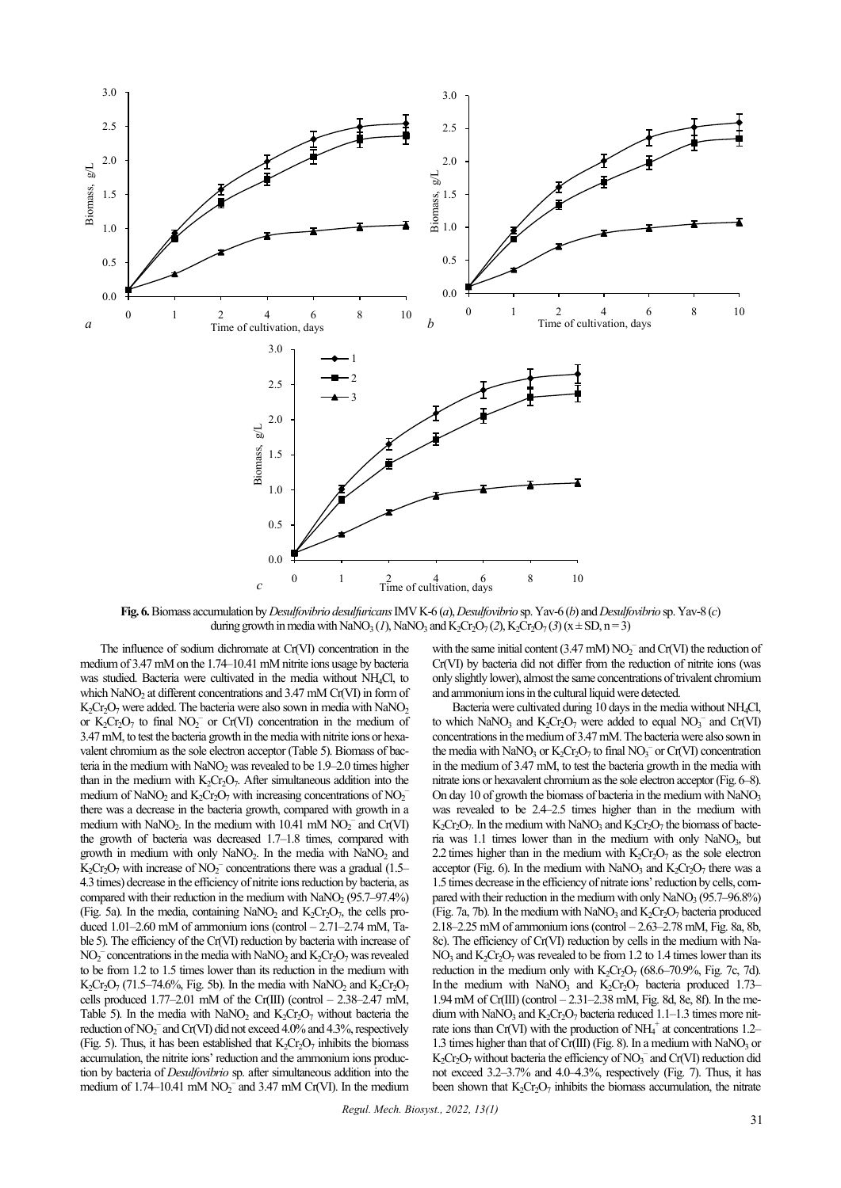

**Fig. 6.**Biomass accumulation by *Desulfovibrio desulfuricans*IMV K-6 (*a*), *Desulfovibrio* sp. Yav-6 (*b*) and *Desulfovibrio* sp. Yav-8 (*c*) during growth in media with NaNO<sub>3</sub> (*1*), NaNO<sub>3</sub> and K<sub>2</sub>Cr<sub>2</sub>O<sub>7</sub> (*2*), K<sub>2</sub>Cr<sub>2</sub>O<sub>7</sub> (*3*) ( $x \pm SD$ , n=3)

The influence of sodium dichromate at Cr(VI) concentration in the medium of 3.47 mM on the 1.74–10.41 mM nitrite ions usage by bacteria was studied. Bacteria were cultivated in the media without NH4Cl, to which NaNO<sub>2</sub> at different concentrations and  $3.47 \text{ mM Cr(VI)}$  in form of  $K_2Cr_2O_7$  were added. The bacteria were also sown in media with NaNO<sub>2</sub> or  $K_2Cr_2O_7$  to final  $NO_2^-$  or Cr(VI) concentration in the medium of 3.47mM, to test the bacteria growth in the media with nitrite ions or hexavalent chromium as the sole electron acceptor (Table 5). Biomass of bacteria in the medium with  $NaNO<sub>2</sub>$  was revealed to be 1.9–2.0 times higher than in the medium with  $K_2Cr_2O_7$ . After simultaneous addition into the medium of NaNO<sub>2</sub> and  $K_2Cr_2O_7$  with increasing concentrations of NO<sub>2</sub><sup>-</sup> there was a decrease in the bacteria growth, compared with growth in a medium with  $\text{NaNO}_2$ . In the medium with  $10.41 \text{ mM } \text{NO}_2^-$  and  $\text{Cr(VI)}$ the growth of bacteria was decreased 1.7–1.8 times, compared with growth in medium with only  $NaNO<sub>2</sub>$ . In the media with  $NaNO<sub>2</sub>$  and  $K_2Cr_2O_7$  with increase of  $NO_2^-$  concentrations there was a gradual (1.5– 4.3 times) decrease in the efficiency of nitrite ions reduction by bacteria, as compared with their reduction in the medium with  $\text{NaNO}_2$  (95.7–97.4%) (Fig. 5a). In the media, containing NaNO<sub>2</sub> and  $K_2Cr_2O_7$ , the cells produced  $1.01-2.60$  mM of ammonium ions (control  $-2.71-2.74$  mM, Table 5). The efficiency of the Cr(VI) reduction by bacteria with increase of  $NO_2^-$  concentrations in the media with NaNO<sub>2</sub> and  $K_2Cr_2O_7$  was revealed to be from 1.2 to 1.5 times lower than its reduction in the medium with K<sub>2</sub>Cr<sub>2</sub>O<sub>7</sub> (71.5–74.6%, Fig. 5b). In the media with NaNO<sub>2</sub> and K<sub>2</sub>Cr<sub>2</sub>O<sub>7</sub> cells produced  $1.77-2.01$  mM of the Cr(III) (control  $- 2.38-2.47$  mM, Table 5). In the media with NaNO<sub>2</sub> and  $K_2Cr_2O_7$  without bacteria the reduction of NO<sub>2</sub><sup>-</sup> and Cr(VI) did not exceed 4.0% and 4.3%, respectively (Fig. 5). Thus, it has been established that  $K_2Cr_2O_7$  inhibits the biomass accumulation, the nitrite ions' reduction and the ammonium ions production by bacteria of *Desulfovibrio* sp. after simultaneous addition into the medium of 1.74–10.41 mM  $NO<sub>2</sub><sup>-</sup>$  and 3.47 mM Cr(VI). In the medium

with the same initial content (3.47 mM)  $NO<sub>2</sub><sup>-</sup>$  and Cr(VI) the reduction of Cr(VI) by bacteria did not differ from the reduction of nitrite ions (was only slightly lower), almost the same concentrations of trivalent chromium and ammonium ions in the cultural liquid were detected.

Bacteria were cultivated during 10 days in the media without NH4Cl, to which NaNO<sub>3</sub> and  $K_2Cr_2O_7$  were added to equal NO<sub>3</sub><sup>-</sup> and Cr(VI) concentrations in the medium of 3.47 mM. The bacteria were also sown in the media with NaNO<sub>3</sub> or  $K_2Cr_2O_7$  to final NO<sub>3</sub><sup>-</sup> or Cr(VI) concentration in the medium of 3.47 mM, to test the bacteria growth in the media with nitrate ions or hexavalent chromium as the sole electron acceptor (Fig.6–8). On day 10 of growth the biomass of bacteria in the medium with  $NaNO<sub>3</sub>$ was revealed to be 2.4–2.5 times higher than in the medium with  $K_2Cr_2O_7$ . In the medium with NaNO<sub>3</sub> and  $K_2Cr_2O_7$  the biomass of bacteria was  $1.1$  times lower than in the medium with only NaNO<sub>3</sub>, but 2.2 times higher than in the medium with  $K_2Cr_2O_7$  as the sole electron acceptor (Fig. 6). In the medium with NaNO<sub>3</sub> and  $K_2Cr_2O_7$  there was a 1.5 times decrease in the efficiency of nitrate ions' reduction by cells, compared with their reduction in the medium with only  $NaNO<sub>3</sub>(95.7–96.8%)$ (Fig. 7a, 7b). In the medium with NaNO<sub>3</sub> and  $K_2Cr_2O_7$  bacteria produced 2.18–2.25 mM of ammonium ions (control – 2.63–2.78 mM, Fig. 8a, 8b, 8c). The efficiency of Cr(VI) reduction by cells in the medium with Na-NO<sub>3</sub> and  $K_2Cr_2O_7$  was revealed to be from 1.2 to 1.4 times lower than its reduction in the medium only with  $K_2Cr_2O_7$  (68.6–70.9%, Fig. 7c, 7d). In the medium with NaNO<sub>3</sub> and K<sub>2</sub>Cr<sub>2</sub>O<sub>7</sub> bacteria produced 1.73– 1.94mM of Cr(III) (control – 2.31–2.38 mM, Fig. 8d, 8e, 8f). In the medium with NaNO<sub>3</sub> and K<sub>2</sub>Cr<sub>2</sub>O<sub>7</sub> bacteria reduced  $1.1-1.3$  times more nitrate ions than Cr(VI) with the production of  $NH_4^+$  at concentrations 1.2– 1.3 times higher than that of Cr(III) (Fig. 8). In a medium with NaNO<sub>3</sub> or  $K_2Cr_2O_7$  without bacteria the efficiency of  $NO_3^-$  and  $Cr(VI)$  reduction did not exceed 3.2–3.7% and 4.0–4.3%, respectively (Fig. 7). Thus, it has been shown that  $K_2Cr_2O_7$  inhibits the biomass accumulation, the nitrate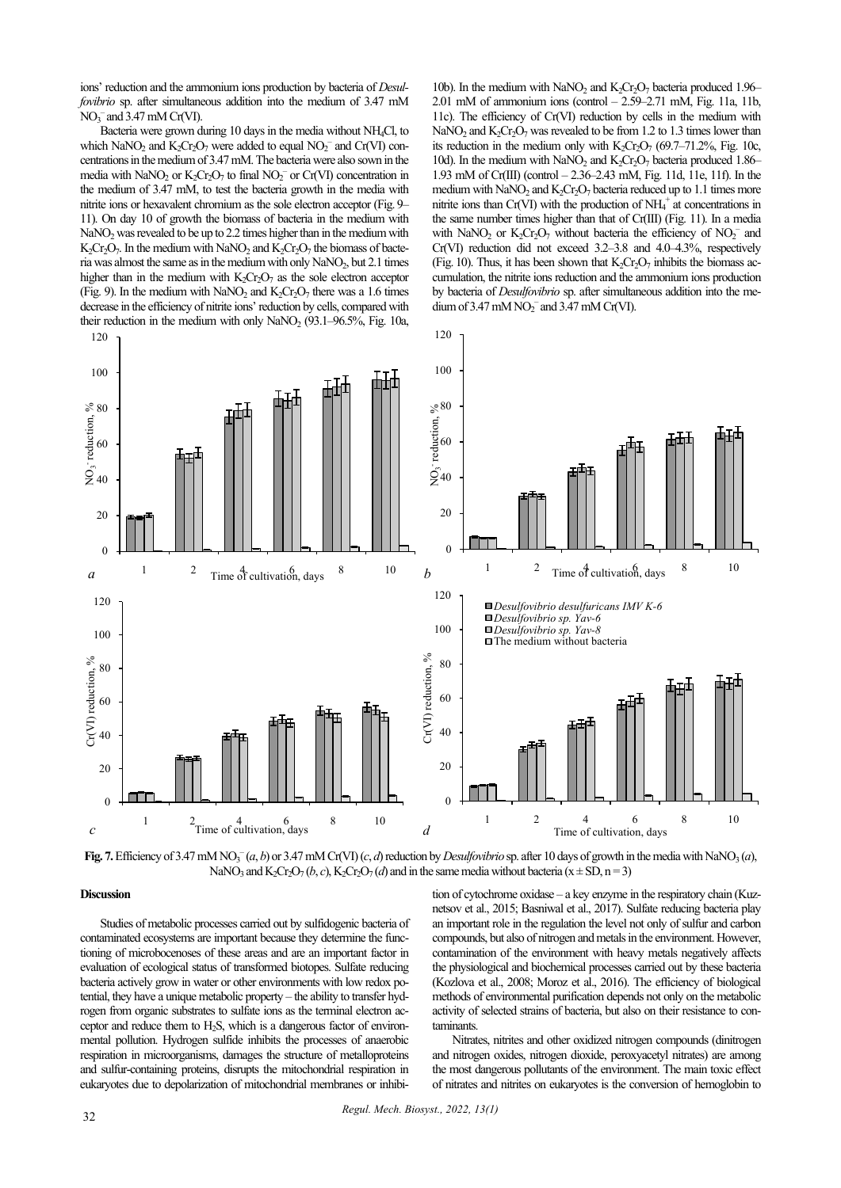ions' reduction and the ammonium ions production by bacteria of *Desulfovibrio* sp. after simultaneous addition into the medium of 3.47 mM  $NO<sub>3</sub><sup>-</sup>$  and 3.47 mM Cr(VI).

Bacteria were grown during 10 days in the media without NH4Cl, to which NaNO<sub>2</sub> and  $K_2Cr_2O_7$  were added to equal NO<sub>2</sub><sup>-</sup> and Cr(VI) concentrations in the medium of 3.47 mM. The bacteria were also sown in the media with NaNO<sub>2</sub> or  $K_2Cr_2O_7$  to final NO<sub>2</sub><sup>-</sup> or Cr(VI) concentration in the medium of 3.47 mM, to test the bacteria growth in the media with nitrite ions or hexavalent chromium as the sole electron acceptor (Fig. 9– 11). On day 10 of growth the biomass of bacteria in the medium with NaNO<sub>2</sub> was revealed to be up to 2.2 times higher than in the medium with  $K_2Cr_2O_7$ . In the medium with NaNO<sub>2</sub> and  $K_2Cr_2O_7$  the biomass of bacteria was almost the same as in the medium with only  $\text{NaNO}_2$ , but 2.1 times higher than in the medium with  $K_2Cr_2O_7$  as the sole electron acceptor (Fig. 9). In the medium with NaNO<sub>2</sub> and  $K_2Cr_2O_7$  there was a 1.6 times decrease in the efficiency of nitrite ions' reduction by cells, compared with their reduction in the medium with only NaNO<sub>2</sub>  $(93.1–96.5\%$ , Fig. 10a,

10b). In the medium with NaNO<sub>2</sub> and K<sub>2</sub>Cr<sub>2</sub>O<sub>7</sub> bacteria produced 1.96– 2.01 mM of ammonium ions (control  $- 2.59 - 2.71$  mM, Fig. 11a, 11b, 11c). The efficiency of Cr(VI) reduction by cells in the medium with NaNO<sub>2</sub> and K<sub>2</sub>Cr<sub>2</sub>O<sub>7</sub> was revealed to be from 1.2 to 1.3 times lower than its reduction in the medium only with  $K_2Cr_2O_7$  (69.7–71.2%, Fig. 10c, 10d). In the medium with  $NaNO<sub>2</sub>$  and  $K<sub>2</sub>Cr<sub>2</sub>O<sub>7</sub>$  bacteria produced 1.86– 1.93 mM of Cr(III) (control – 2.36–2.43 mM, Fig. 11d, 11e, 11f). In the medium with  $NaNO<sub>2</sub>$  and  $K<sub>2</sub>Cr<sub>2</sub>O<sub>7</sub>$  bacteria reduced up to 1.1 times more nitrite ions than Cr(VI) with the production of  $NH_4^+$  at concentrations in the same number times higher than that of Cr(III) (Fig. 11). In a media with NaNO<sub>2</sub> or  $K_2Cr_2O_7$  without bacteria the efficiency of NO<sub>2</sub><sup>-</sup> and Cr(VI) reduction did not exceed 3.2–3.8 and 4.0–4.3%, respectively (Fig. 10). Thus, it has been shown that  $K_2Cr_2O_7$  inhibits the biomass accumulation, the nitrite ions reduction and the ammonium ions production by bacteria of *Desulfovibrio* sp. after simultaneous addition into the medium of 3.47 mM  $NO<sub>2</sub><sup>-</sup>$  and 3.47 mM Cr(VI).



Fig. 7. Efficiency of 3.47 mM NO<sub>3</sub><sup> $-$ </sup>(*a*, *b*) or 3.47 mM Cr(VI) (*c*, *d*) reduction by *Desulfovibrio* sp. after 10 days of growth in the media with NaNO<sub>3</sub> (*a*), NaNO<sub>3</sub> and K<sub>2</sub>Cr<sub>2</sub>O<sub>7</sub> (*b*, *c*), K<sub>2</sub>Cr<sub>2</sub>O<sub>7</sub> (*d*) and in the same media without bacteria (x  $\pm$  SD, n = 3)

# **Discussion**

Studies of metabolic processes carried out by sulfidogenic bacteria of contaminated ecosystems are important because they determine the functioning of microbocenoses of these areas and are an important factor in evaluation of ecological status of transformed biotopes. Sulfate reducing bacteria actively grow in water or other environments with low redox potential, they have a unique metabolic property – the ability to transfer hydrogen from organic substrates to sulfate ions as the terminal electron acceptor and reduce them to  $H<sub>2</sub>S$ , which is a dangerous factor of environmental pollution. Hydrogen sulfide inhibits the processes of anaerobic respiration in microorganisms, damages the structure of metalloproteins and sulfur-containing proteins, disrupts the mitochondrial respiration in eukaryotes due to depolarization of mitochondrial membranes or inhibi-

tion of cytochrome oxidase – a key enzyme in the respiratory chain (Kuznetsov et al., 2015; Basniwal et al., 2017). Sulfate reducing bacteria play an important role in the regulation the level not only of sulfur and carbon compounds, but also of nitrogen and metals in the environment. However, contamination of the environment with heavy metals negatively affects the physiological and biochemical processes carried out by these bacteria (Kozlova et al., 2008; Moroz et al., 2016). The efficiency of biological methods of environmental purification depends not only on the metabolic activity of selected strains of bacteria, but also on their resistance to contaminants.

Nitrates, nitrites and other oxidized nitrogen compounds (dinitrogen and nitrogen oxides, nitrogen dioxide, peroxyacetyl nitrates) are among the most dangerous pollutants of the environment. The main toxic effect of nitrates and nitrites on eukaryotes is the conversion of hemoglobin to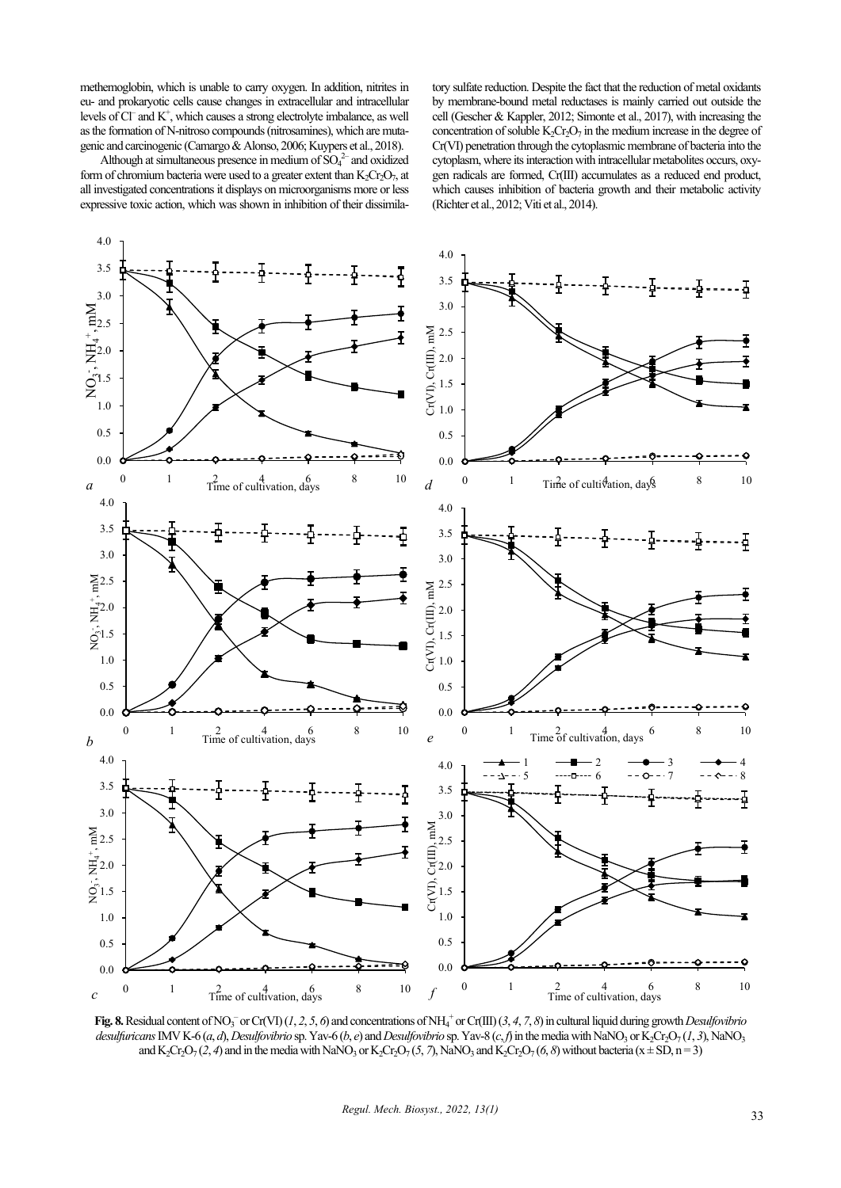methemoglobin, which is unable to carry oxygen. In addition, nitrites in eu- and prokaryotic cells cause changes in extracellular and intracellular levels of Cl<sup>-</sup> and K<sup>+</sup>, which causes a strong electrolyte imbalance, as well as the formation of N-nitroso compounds (nitrosamines), which are mutagenic and carcinogenic (Camargo & Alonso, 2006; Kuypers et al., 2018).

Although at simultaneous presence in medium of  $SO_4^2$  and oxidized form of chromium bacteria were used to a greater extent than  $K_2Cr_2O_7$ , at all investigated concentrations it displays on microorganisms more or less expressive toxic action, which was shown in inhibition of their dissimilatory sulfate reduction. Despite the fact that the reduction of metal oxidants by membrane-bound metal reductases is mainly carried out outside the cell (Gescher & Kappler, 2012; Simonte et al., 2017), with increasing the concentration of soluble  $K_2Cr_2O_7$  in the medium increase in the degree of Cr(VІ) penetration through the cytoplasmic membrane of bacteria into the cytoplasm, where its interaction with intracellular metabolites occurs, oxygen radicals are formed, Cr(III) accumulates as a reduced end product, which causes inhibition of bacteria growth and their metabolic activity (Richter et al., 2012; Viti et al., 2014).



Fig. 8. Residual content of NO<sub>3</sub> or Cr(VI) (1, 2, 5, 6) and concentrations of NH<sub>4</sub><sup>+</sup> or Cr(III) (3, 4, 7, 8) in cultural liquid during growth *Desulfovibrio desulfuricans* IMV K-6 (*a*, *d*), *Desulfovibrio* sp. Yav-6 (*b*, *e*) and *Desulfovibrio* sp. Yav-8 (*c*, *f*) in the media with NaNO<sub>3</sub> or K<sub>2</sub>Cr<sub>2</sub>O<sub>7</sub> (1, 3), NaNO<sub>3</sub> and K<sub>2</sub>Cr<sub>2</sub>O<sub>7</sub> (2, 4) and in the media with NaNO<sub>3</sub> or K<sub>2</sub>Cr<sub>2</sub>O<sub>7</sub> (5, 7), NaNO<sub>3</sub> and K<sub>2</sub>Cr<sub>2</sub>O<sub>7</sub> (6, 8) without bacteria (x ± SD, n = 3)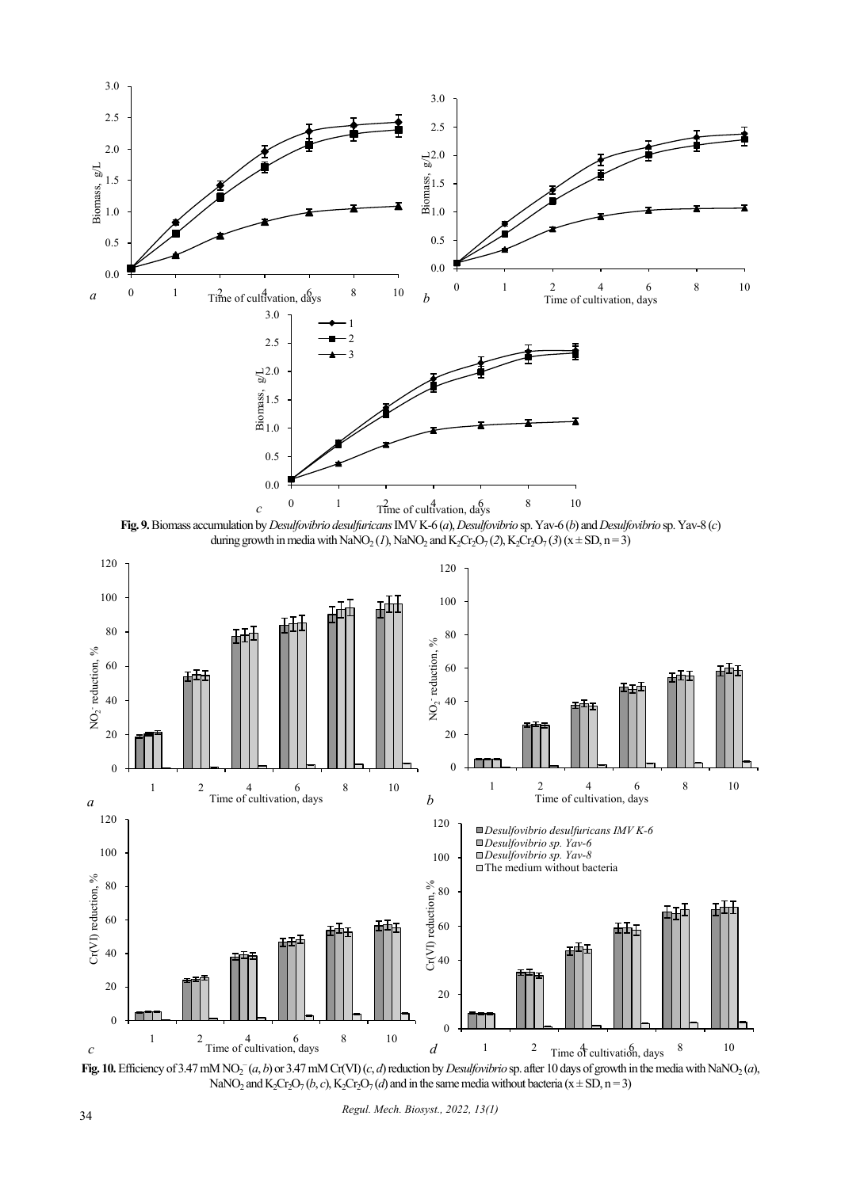





Fig. 10. Efficiency of 3.47 mM NO<sub>2</sub><sup>-</sup>(*a*, *b*) or 3.47 mM Cr(VI)(*c*, *d*) reduction by *Desulfovibrio* sp. after 10 days of growth in the media with NaNO<sub>2</sub>(*a*), NaNO<sub>2</sub> and K<sub>2</sub>Cr<sub>2</sub>O<sub>7</sub> (*b*, *c*), K<sub>2</sub>Cr<sub>2</sub>O<sub>7</sub> (*d*) and in the same media without bacteria (x  $\pm$  SD, n = 3)

*Regul. Mech. Biosyst., 2022, 13(1)*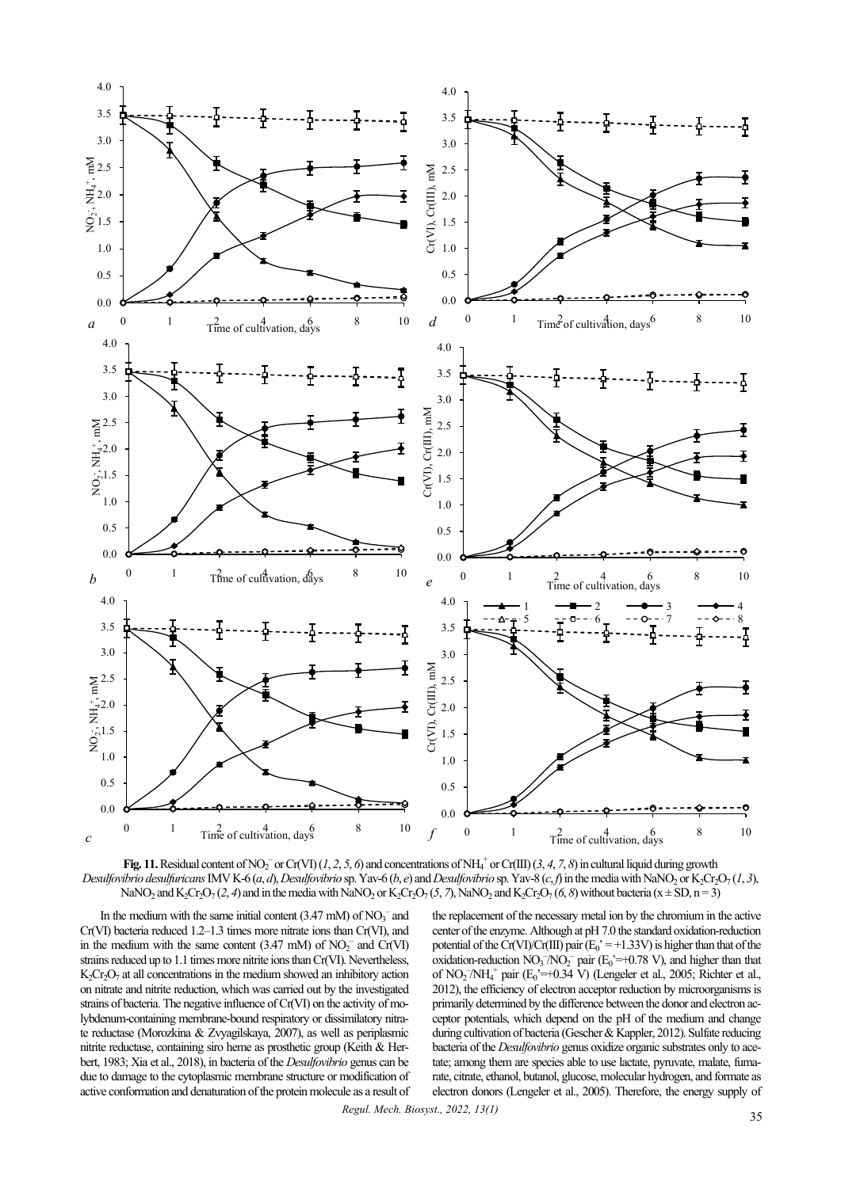

**Fig. 11.** Residual content of NO<sub>2</sub><sup>-</sup> or Cr(VI) (1, 2, 5, 6) and concentrations of NH<sub>4</sub><sup>+</sup> or Cr(III) (3, 4, 7, 8) in cultural liquid during growth Desulfovibrio desulfuricans IMV K-6 (a, d), Desulfovibrio sp. Yav-6 (b, e) and Desulfovibrio sp. Yav-8 (c, f) in the media with NaNO, or K, Cr, O, (1, 3), NaNO<sub>2</sub> and K<sub>2</sub>Cr<sub>2</sub>O<sub>7</sub> (2, 4) and in the media with NaNO<sub>2</sub> or K<sub>2</sub>Cr<sub>2</sub>O<sub>7</sub> (5, 7), NaNO<sub>2</sub> and K<sub>2</sub>Cr<sub>2</sub>O<sub>7</sub> (6, 8) without bacteria (x  $\pm$  SD, n = 3)

In the medium with the same initial content  $(3.47 \text{ mM})$  of  $NO<sub>3</sub><sup>-</sup>$  and Cr(VІ) bacteria reduced 1.2–1.3 times more nitrate ions than Cr(VІ), and in the medium with the same content  $(3.47 \text{ mM})$  of  $NO<sub>2</sub><sup>-</sup>$  and  $Cr(VI)$ strains reduced up to 1.1 times more nitrite ions than Cr(VІ). Nevertheless,  $K<sub>2</sub>Cr<sub>2</sub>O<sub>7</sub>$  at all concentrations in the medium showed an inhibitory action on nitrate and nitrite reduction, which was carried out by the investigated strains of bacteria. The negative influence of Cr(VІ) on the activity of molybdenum-containing membrane-bound respiratory or dissimilatory nitrate reductase (Morozkina & Zvyagilskaya, 2007), as well as periplasmic nitrite reductase, containing siro heme as prosthetic group (Keith & Herbert, 1983; Xia et al., 2018), in bacteria of the *Desulfovibrio* genus can be due to damage to the cytoplasmic membrane structure or modification of active conformation and denaturation of the protein molecule as a result of

the replacement of the necessary metal ion by the chromium in the active center of the enzyme. Although at pH 7.0 the standard oxidation-reduction potential of the Cr(VI)/Cr(III) pair  $(E_0^{\prime} = +1.33V)$  is higher than that of the oxidation-reduction  $NO_3^-/NO_2^-$  pair  $(E_0^{\prime} = +0.78 \text{ V})$ , and higher than that of NO<sub>2</sub><sup>-</sup>/NH<sub>4</sub><sup>+</sup> pair (E<sub>0</sub>'=+0.34 V) (Lengeler et al., 2005; Richter et al., 2012), the efficiency of electron acceptor reduction by microorganisms is primarily determined by the difference between the donor and electron acceptor potentials, which depend on the pH of the medium and change during cultivation of bacteria (Gescher & Kappler, 2012). Sulfate reducing bacteria of the *Desulfovibrio* genus oxidize organic substrates only to acetate; among them are species able to use lactate, pyruvate, malate, fumarate, citrate, ethanol, butanol, glucose, molecular hydrogen, and formate as electron donors (Lengeler et al., 2005). Therefore, the energy supply of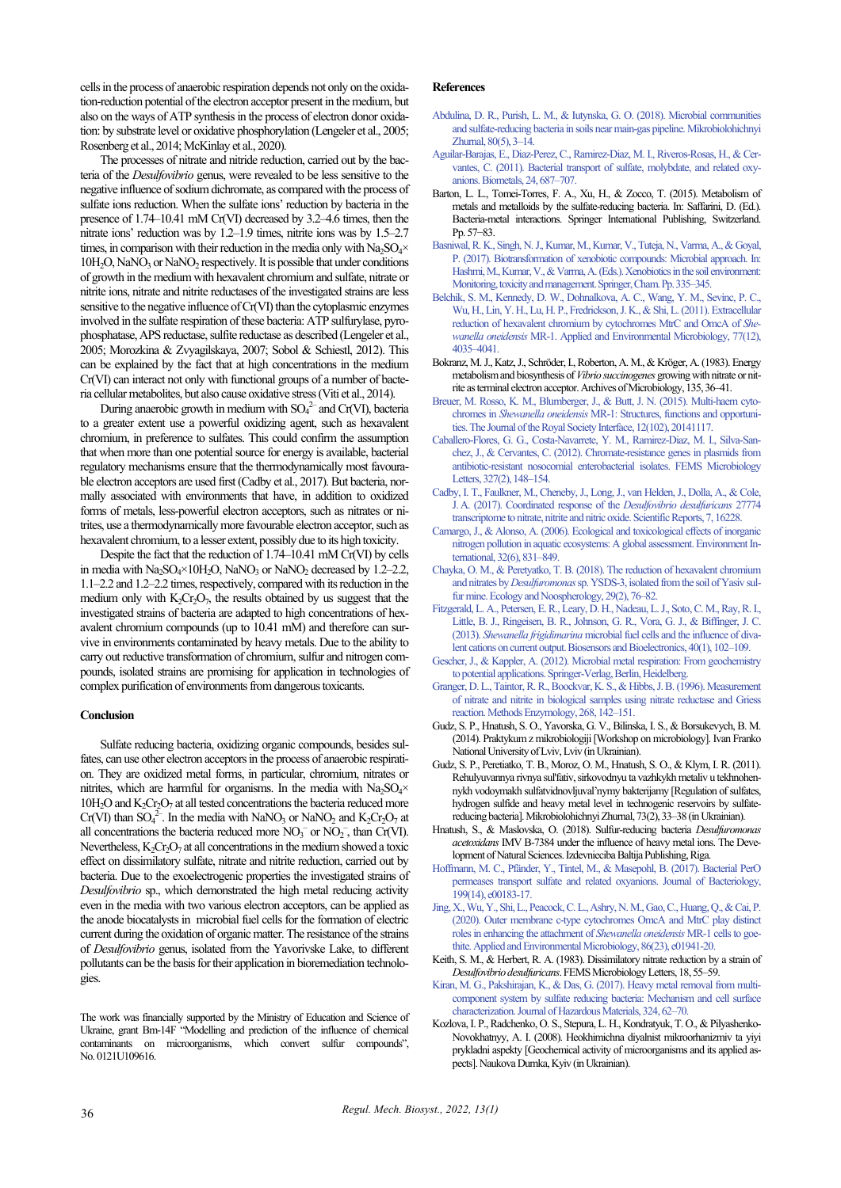cells in the process of anaerobic respiration depends not only on the oxidation-reduction potential of the electron acceptor present in the medium, but also on the ways of ATP synthesis in the process of electron donor oxidation: by substrate level or oxidative phosphorylation (Lengeler et al., 2005; Rosenberg et al., 2014; McKinlay et al., 2020).

The processes of nitrate and nitride reduction, carried out by the bacteria of the *Desulfovibrio* genus, were revealed to be less sensitive to the negative influence of sodium dichromate, as compared with the process of sulfate ions reduction. When the sulfate ions' reduction by bacteria in the presence of 1.74–10.41 mM Cr(VІ) decreased by 3.2–4.6 times, then the nitrate ions' reduction was by 1.2–1.9 times, nitrite ions was by 1.5–2.7 times, in comparison with their reduction in the media only with  $Na<sub>2</sub>SO<sub>4</sub>×$  $10H<sub>2</sub>O$ , NaNO<sub>3</sub> or NaNO<sub>2</sub> respectively. It is possible that under conditions of growth in the medium with hexavalent chromium and sulfate, nitrate or nitrite ions, nitrate and nitrite reductases of the investigated strains are less sensitive to the negative influence of Cr(VI) than the cytoplasmic enzymes involved in the sulfate respiration of these bacteria: ATP sulfurylase, pyrophosphatase, APS reductase, sulfite reductase as described (Lengeler et al., 2005; Morozkina & Zvyagilskaya, 2007; Sobol & Schiestl, 2012). This can be explained by the fact that at high concentrations in the medium Cr(VІ) can interact not only with functional groups of a number of bacteria cellular metabolites, but also cause oxidative stress (Viti et al., 2014).

During anaerobic growth in medium with  $SO_4^{2-}$  and Cr(VI), bacteria to a greater extent use a powerful oxidizing agent, such as hexavalent chromium, in preference to sulfates. This could confirm the assumption that when more than one potential source for energy is available, bacterial regulatory mechanisms ensure that the thermodynamically most favourable electron acceptors are used first (Cadby et al., 2017). But bacteria, normally associated with environments that have, in addition to oxidized forms of metals, less-powerful electron acceptors, such as nitrates or nitrites, use a thermodynamically more favourable electron acceptor, such as hexavalent chromium, to a lesser extent, possibly due to its high toxicity.

Despite the fact that the reduction of 1.74–10.41 mM Cr(VI) by cells in media with  $Na<sub>2</sub>SO<sub>4</sub>×10H<sub>2</sub>O$ , NaNO<sub>3</sub> or NaNO<sub>2</sub> decreased by 1.2–2.2, 1.1–2.2 and 1.2–2.2 times, respectively, compared with its reduction in the medium only with  $K_2Cr_2O_7$ , the results obtained by us suggest that the investigated strains of bacteria are adapted to high concentrations of hexavalent chromium compounds (up to 10.41 mM) and therefore can survive in environments contaminated by heavy metals. Due to the ability to carry out reductive transformation of chromium, sulfur and nitrogen compounds, isolated strains are promising for application in technologies of complex purification of environments from dangerous toxicants.

#### **Conclusion**

Sulfate reducing bacteria, oxidizing organic compounds, besides sulfates, can use other electron acceptors in the process of anaerobic respiration. They are oxidized metal forms, in particular, chromium, nitrates or nitrites, which are harmful for organisms. In the media with  $Na<sub>2</sub>SO<sub>4</sub>×$  $10H<sub>2</sub>O$  and  $K<sub>2</sub>Cr<sub>2</sub>O<sub>7</sub>$  at all tested concentrations the bacteria reduced more Cr(VI) than  $SO_4^2$ . In the media with NaNO<sub>3</sub> or NaNO<sub>2</sub> and K<sub>2</sub>Cr<sub>2</sub>O<sub>7</sub> at all concentrations the bacteria reduced more  $NO<sub>3</sub><sup>-</sup>$  or  $NO<sub>2</sub><sup>-</sup>$ , than Cr(VI). Nevertheless,  $K_2Cr_2O_7$  at all concentrations in the medium showed a toxic effect on dissimilatory sulfate, nitrate and nitrite reduction, carried out by bacteria. Due to the exoelectrogenic properties the investigated strains of *Desulfovibrio* sp., which demonstrated the high metal reducing activity even in the media with two various electron acceptors, can be applied as the anode biocatalysts in microbial fuel cells for the formation of electric current during the oxidation of organic matter. The resistance of the strains of *Desulfovibrio* genus, isolated from the Yavorivske Lake, to different pollutants can be the basis for their application in bioremediation technologies.

The work was financially supported by the Ministry of Education and Science of Ukraine, grant Bm-14F "Modelling and prediction of the influence of chemical contaminants on microorganisms, which convert sulfur compounds", No. 0121U109616.

## **References**

- [Abdulina, D. R., Purish, L. M., & Iutynska, G. O. \(2018\). Microbial communities](http://doi.org/10.15407/microbiolj80.05.003)  [and sulfate-reducing bacteria in soils near main-gas pipeline. Mikrobiolohichnyi](http://doi.org/10.15407/microbiolj80.05.003)  [Zhurnal, 80\(5\), 3–14.](http://doi.org/10.15407/microbiolj80.05.003)
- [Aguilar-Barajas, E., Diaz-Perez, C., Ramirez-Diaz, M. I., Riveros-Rosas, H., & Cer](http://doi.org/10.1007/s10534-011-9421-x)[vantes, C. \(2011\). Bacterial transport of sulfate, molybdate, and related oxy](http://doi.org/10.1007/s10534-011-9421-x)[anions. Biometals, 24, 687–707.](http://doi.org/10.1007/s10534-011-9421-x)
- Barton, L. L., Tomei-Torres, F. A., Xu, H., & Zocco, T. (2015). Metabolism of metals and metalloids by the sulfate-reducing bacteria. In: Saffarini, D. (Ed.). Bacteria-metal interactions. Springer International Publishing, Switzerland. Pp.57−83.
- [Basniwal, R. K., Singh, N. J., Kumar, M., Kumar, V., Tuteja, N., Varma, A., & Goyal,](http://doi.org/10.1007/978-3-319-47744-2_22)  [P. \(2017\). Biotransformation of xenobiotic compounds: Microbial approach. In:](http://doi.org/10.1007/978-3-319-47744-2_22)  Hashmi, M., Kumar, V., & Varma, A. (Eds.). Xenobiotics in the soil environment: [Monitoring, toxicity and management. Springer, Cham. Pp.335–345.](http://doi.org/10.1007/978-3-319-47744-2_22)
- [Belchik, S. M., Kennedy, D. W., Dohnalkova, A. C., Wang, Y. M., Sevinc, P. C.,](http://doi.org/10.1128/AEM.02463-10)  [Wu, H., Lin, Y. H., Lu, H. P., Fredrickson, J. K., & Shi, L. \(2011\). Extracellular](http://doi.org/10.1128/AEM.02463-10)  [reduction of hexavalent chromium by cytochromes MtrC and OmcA of](http://doi.org/10.1128/AEM.02463-10) *Shewanella oneidensis* [MR-1. Applied and Environmental Microbiology, 77\(12\),](http://doi.org/10.1128/AEM.02463-10)  [4035–4041.](http://doi.org/10.1128/AEM.02463-10)
- Bokranz, M. J., Katz, J., Schröder, I., Roberton, A. M., & Kröger, A. (1983). Energy metabolism and biosynthesis of *Vibrio succinogenes* growing with nitrate or nitrite as terminal electron acceptor. Archives of Microbiology, 135, 36–41.
- [Breuer, M. Rosso, K. M., Blumberger, J., & Butt, J. N. \(2015\). Multi-haem cyto](http://doi.org/10.1098/rsif.2014.1117)chromes in *Shewanella oneidensis* [MR-1: Structures, functions and opportuni](http://doi.org/10.1098/rsif.2014.1117)[ties. The Journal of the Royal Society Interface, 12\(102\), 20141117.](http://doi.org/10.1098/rsif.2014.1117)
- [Caballero-Flores, G. G., Costa-Navarrete, Y. M., Ramirez-Diaz, M. I., Silva-San](http://doi.org/10.1111/j.1574-6968.2011.02473.x)[chez, J., & Cervantes, C. \(2012\). Chromate-resistance genes in plasmids from](http://doi.org/10.1111/j.1574-6968.2011.02473.x)  [antibiotic-resistant nosocomial enterobacterial isolates. FEMS Microbiology](http://doi.org/10.1111/j.1574-6968.2011.02473.x)  [Letters, 327\(2\), 148–154.](http://doi.org/10.1111/j.1574-6968.2011.02473.x)
- Cadby, I. T., [Faulkner, M., Cheneby, J., Long,J., van Helden, J., Dolla, A., & Cole,](http://doi.org/10.1038/s41598-017-16403-4)  [J.A. \(2017\). Coordinated response of the](http://doi.org/10.1038/s41598-017-16403-4) *Desulfovibrio desulfuricans* 27774 [transcriptome to nitrate, nitrite and nitric oxide. Scientific Reports, 7, 16228.](http://doi.org/10.1038/s41598-017-16403-4)
- [Camargo, J., & Alonso, A. \(2006\). Ecological and toxicological effects of inorganic](http://doi.org/10.1016/j.envint.2006.05.002)  [nitrogen pollution in aquatic ecosystems: A global assessment. Environment In](http://doi.org/10.1016/j.envint.2006.05.002)[ternational, 32\(6\), 831–849.](http://doi.org/10.1016/j.envint.2006.05.002)
- [Сhayka, O. M., & Peretyatko, T. B. \(2018\). The reduction of hexavalent chromium](http://doi.org/10.15421/031813)  and nitrates by *Desulfuromonas*[sp. YSDS-3, isolated from the soil of Yasiv sul](http://doi.org/10.15421/031813)[fur mine. Ecology and Noospherology, 29\(2\), 76–82.](http://doi.org/10.15421/031813)
- [Fitzgerald, L. A., Petersen, E. R., Leary, D. H., Nadeau, L. J., Soto, C. M., Ray, R. I.,](http://doi.org/10.1016/j.bios.2012.06.039)  [Little, B. J., Ringeisen, B. R., Johnson, G. R., Vora, G. J., & Biffinger, J. C.](http://doi.org/10.1016/j.bios.2012.06.039)  (2013). *Shewanella frigidimarina* [microbial fuel cells and the influence of diva](http://doi.org/10.1016/j.bios.2012.06.039)lent cations on current output. Biosensors and Bioelectronics, 40(1), 102-109.
- [Gescher, J., & Kappler, A. \(2012\). Microbial metal respiration: From geochemistry](http://doi.org/10.1007/978-3-642-32867-1_2)  [to potential applications. Springer-Verlag, Berlin, Heidelberg.](http://doi.org/10.1007/978-3-642-32867-1_2)
- [Granger, D. L., Taintor, R. R., Boockvar, K. S., & Hibbs, J. B. \(1996\). Measurement](http://doi.org/10.1016/s0076-6879(96)68016-1)  [of nitrate and nitrite in biological samples using nitrate reductase and Griess](http://doi.org/10.1016/s0076-6879(96)68016-1)  [reaction. Methods Enzymology, 268, 142–151.](http://doi.org/10.1016/s0076-6879(96)68016-1)
- Gudz, S. P., Нnatush, S. O., Yavorska, G. V., Bilinska, I. S., & Borsukevych, B. M. (2014). Praktykum z mikrobiologiji [Workshop on microbiology]. Ivan Franko National University of Lviv, Lviv (in Ukrainian).
- Gudz, S. P., Peretiatko, T. B., Moroz, O. M., Hnatush, S. O., & Klym, I. R. (2011). Rehulyuvannya rivnya sul'fativ, sirkovodnyu ta vazhkykh metaliv u tekhnohennykh vodoymakh sulfatvidnovljuval'nymy bakterijamy [Regulation of sulfates, hydrogen sulfide and heavy metal level in technogenic reservoirs by sulfatereducing bacteria]. Mikrobiolohichnyi Zhurnal, 73(2), 33–38 (in Ukrainian).
- Hnatush, S., & Maslovska, O. (2018). Sulfur-reducing bacteria *Desulfuromonas acetoxidans* ІМV В-7384 under the influence of heavy metal ions. The Development of Natural Sciences. Izdevnieciba Baltija Publishing, Riga.
- [Hoffmann, M. C., Pfänder, Y., Tintel, M., & Masepohl, B. \(2017\). Bacterial PerO](http://doi.org/10.1128/JB.00183-17)  [permeases transport sulfate and related oxyanions. Journal of Bacteriology,](http://doi.org/10.1128/JB.00183-17)  [199\(14\), e00183-17.](http://doi.org/10.1128/JB.00183-17)
- [Jing, X., Wu, Y., Shi, L., Peacock, C. L., Ashry, N. M., Gao, C., Huang, Q., & Cai, P.](http://doi.org/10.1128/AEM.01941-20)  [\(2020\). Outer membrane c-type cytochromes OmcA and MtrC play distinct](http://doi.org/10.1128/AEM.01941-20)  [roles in enhancing the attachment of](http://doi.org/10.1128/AEM.01941-20) *Shewanella oneidensis* MR-1 cells to goe[thite. Applied and Environmental Microbiology, 86\(23\), e01941-20.](http://doi.org/10.1128/AEM.01941-20)
- Keith, S. M., & Herbert, R. A. (1983). Dissimilatory nitrate reduction by a strain of *Desulfovibrio desulfuricans*. FEMS Microbiology Letters, 18, 55–59.
- [Kiran, M. G., Pakshirajan, K., & Das, G. \(2017\). Heavy metal removal from multi](http://doi.org/10.1016/j.jhazmat.2015.12.042)[component system by sulfate reducing bacteria: Mechanism and cell surface](http://doi.org/10.1016/j.jhazmat.2015.12.042)  [characterization. Journal of Hazardous Materials, 324, 62–70.](http://doi.org/10.1016/j.jhazmat.2015.12.042)
- Kozlova, I. P., Radchenko, O. S., Stepura, L. H., Kondratyuk, T. O., & Pilyashenko-Novokhatnyy, A. I. (2008). Heokhimichna diyalnist mikroorhanizmiv ta yiyi prykladni aspekty [Geochemical activity of microorganisms and its applied aspects]. Naukova Dumka, Kyiv (in Ukrainian).